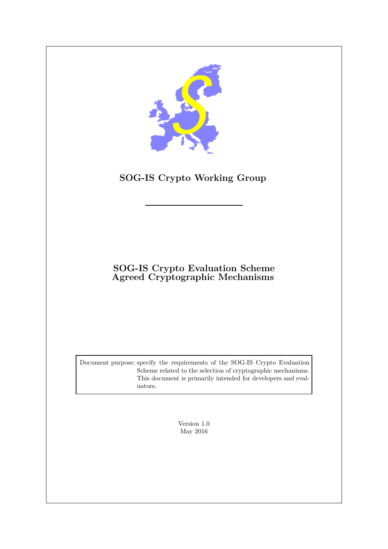

# **SOG-IS Crypto Working Group**

## **SOG-IS Crypto Evaluation Scheme Agreed Cryptographic Mechanisms**

Document purpose: specify the requirements of the SOG-IS Crypto Evaluation Scheme related to the selection of cryptographic mechanisms. This document is primarily intended for developers and evaluators.

> Version 1.0 May 2016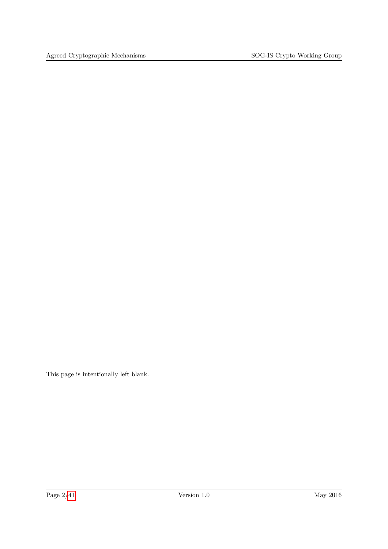This page is intentionally left blank.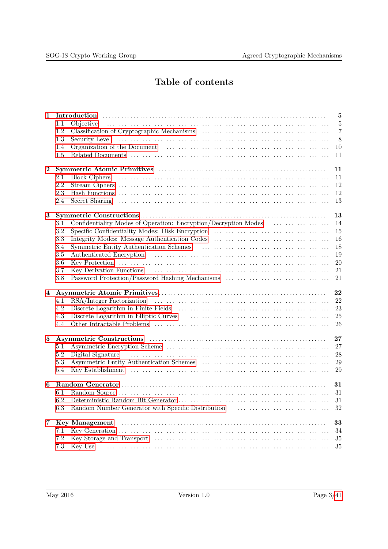# **Table of contents**

| 1              |                                                                        | $\overline{5}$ |
|----------------|------------------------------------------------------------------------|----------------|
|                | 1.1                                                                    | $\overline{5}$ |
|                | 1.2                                                                    | $\overline{7}$ |
|                | 1.3                                                                    | 8              |
|                | 1.4                                                                    | 10             |
|                | 1.5                                                                    | 11             |
| $\bf{2}$       |                                                                        | 11             |
|                | 2.1                                                                    | 11             |
|                | 2.2                                                                    | 12             |
|                | 2.3                                                                    | 12             |
|                | 2.4                                                                    | 13             |
|                |                                                                        |                |
| 3              |                                                                        | 13             |
|                | Confidentiality Modes of Operation: Encryption/Decryption Modes<br>3.1 | 14             |
|                | 3.2                                                                    | 15             |
|                | 3.3                                                                    | 16             |
|                | 3.4                                                                    | 18             |
|                | 3.5                                                                    | 19             |
|                | 3.6                                                                    | 20             |
|                | 3.7                                                                    | 21             |
|                | Password Protection/Password Hashing Mechanisms<br>3.8                 | 21             |
|                |                                                                        | 22             |
| $\overline{4}$ |                                                                        | 22             |
|                | 4.1                                                                    |                |
|                | 4.2                                                                    | 23             |
|                | 4.3                                                                    | $25\,$         |
|                | 4.4                                                                    | 26             |
| 5              |                                                                        | 27             |
|                | 5.1                                                                    | 27             |
|                | 5.2<br>Digital Signature                                               | 28             |
|                | 5.3                                                                    | $29\,$         |
|                | 5.4                                                                    | 29             |
|                |                                                                        |                |
| 6              |                                                                        | 31             |
|                | 6.1                                                                    | 31             |
|                | 6.2                                                                    | $31\,$         |
|                | 6.3                                                                    | 32             |
| 7              | Key Management                                                         | 33             |
|                | 7.1                                                                    | 34             |
|                | 7.2                                                                    | 35             |
|                | 7.3                                                                    | 35             |
|                |                                                                        |                |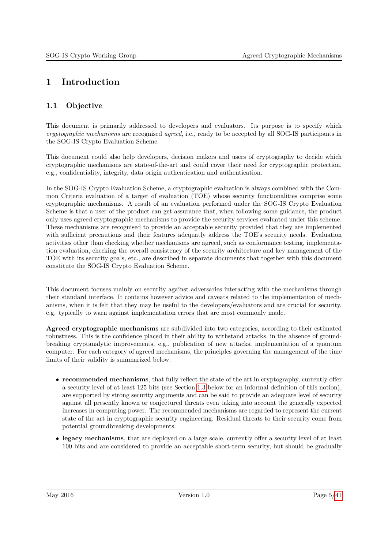# <span id="page-4-0"></span>**1 Introduction**

## <span id="page-4-1"></span>**1.1 Objective**

This document is primarily addressed to developers and evaluators. Its purpose is to specify which *cryptographic mechanisms* are recognised *agreed*, i.e., ready to be accepted by all SOG-IS participants in the SOG-IS Crypto Evaluation Scheme.

This document could also help developers, decision makers and users of cryptography to decide which cryptographic mechanisms are state-of-the-art and could cover their need for cryptographic protection, e.g., confidentiality, integrity, data origin authentication and authentication.

In the SOG-IS Crypto Evaluation Scheme, a cryptographic evaluation is always combined with the Common Criteria evaluation of a target of evaluation (TOE) whose security functionalities comprise some cryptographic mechanisms. A result of an evaluation performed under the SOG-IS Crypto Evaluation Scheme is that a user of the product can get assurance that, when following some guidance, the product only uses agreed cryptographic mechanisms to provide the security services evaluated under this scheme. These mechanisms are recognised to provide an acceptable security provided that they are implemented with sufficient precautions and their features adequatly address the TOE's security needs. Evaluation activities other than checking whether mechanisms are agreed, such as conformance testing, implementation evaluation, checking the overall consistency of the security architecture and key management of the TOE with its security goals, etc., are described in separate documents that together with this document constitute the SOG-IS Crypto Evaluation Scheme.

This document focuses mainly on security against adversaries interacting with the mechanisms through their standard interface. It contains however advice and caveats related to the implementation of mechanisms, when it is felt that they may be useful to the developers/evaluators and are crucial for security, e.g. typically to warn against implementation errors that are most commonly made.

**Agreed cryptographic mechanisms** are subdivided into two categories, according to their estimated robustness. This is the confidence placed in their ability to withstand attacks, in the absence of groundbreaking cryptanalytic improvements, e.g., publication of new attacks, implementation of a quantum computer. For each category of agreed mechanisms, the principles governing the management of the time limits of their validity is summarized below.

- **recommended mechanisms**, that fully reflect the state of the art in cryptography, currently offer a security level of at least 125 bits (see Section [1.3](#page-7-0) below for an informal definition of this notion), are supported by strong security arguments and can be said to provide an adequate level of security against all presently known or conjectured threats even taking into account the generally expected increases in computing power. The recommended mechanisms are regarded to represent the current state of the art in cryptographic security engineering. Residual threats to their security come from potential groundbreaking developments.
- **legacy mechanisms**, that are deployed on a large scale, currently offer a security level of at least 100 bits and are considered to provide an acceptable short-term security, but should be gradually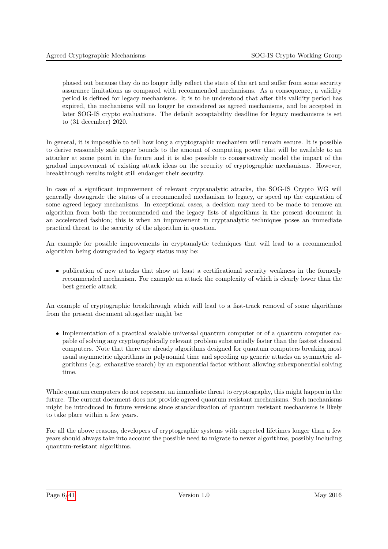phased out because they do no longer fully reflect the state of the art and suffer from some security assurance limitations as compared with recommended mechanisms. As a consequence, a validity period is defined for legacy mechanisms. It is to be understood that after this validity period has expired, the mechanisms will no longer be considered as agreed mechanisms, and be accepted in later SOG-IS crypto evaluations. The default acceptability deadline for legacy mechanisms is set to (31 december) 2020.

In general, it is impossible to tell how long a cryptographic mechanism will remain secure. It is possible to derive reasonably safe upper bounds to the amount of computing power that will be available to an attacker at some point in the future and it is also possible to conservatively model the impact of the gradual improvement of existing attack ideas on the security of cryptographic mechanisms. However, breakthrough results might still endanger their security.

In case of a significant improvement of relevant cryptanalytic attacks, the SOG-IS Crypto WG will generally downgrade the status of a recommended mechanism to legacy, or speed up the expiration of some agreed legacy mechanisms. In exceptional cases, a decision may need to be made to remove an algorithm from both the recommended and the legacy lists of algorithms in the present document in an accelerated fashion; this is when an improvement in cryptanalytic techniques poses an immediate practical threat to the security of the algorithm in question.

An example for possible improvements in cryptanalytic techniques that will lead to a recommended algorithm being downgraded to legacy status may be:

• publication of new attacks that show at least a certificational security weakness in the formerly recommended mechanism. For example an attack the complexity of which is clearly lower than the best generic attack.

An example of cryptographic breakthrough which will lead to a fast-track removal of some algorithms from the present document altogether might be:

• Implementation of a practical scalable universal quantum computer or of a quantum computer capable of solving any cryptographically relevant problem substantially faster than the fastest classical computers. Note that there are already algorithms designed for quantum computers breaking most usual asymmetric algorithms in polynomial time and speeding up generic attacks on symmetric algorithms (e.g. exhaustive search) by an exponential factor without allowing subexponential solving time.

While quantum computers do not represent an immediate threat to cryptography, this might happen in the future. The current document does not provide agreed quantum resistant mechanisms. Such mechanisms might be introduced in future versions since standardization of quantum resistant mechanisms is likely to take place within a few years.

For all the above reasons, developers of cryptographic systems with expected lifetimes longer than a few years should always take into account the possible need to migrate to newer algorithms, possibly including quantum-resistant algorithms.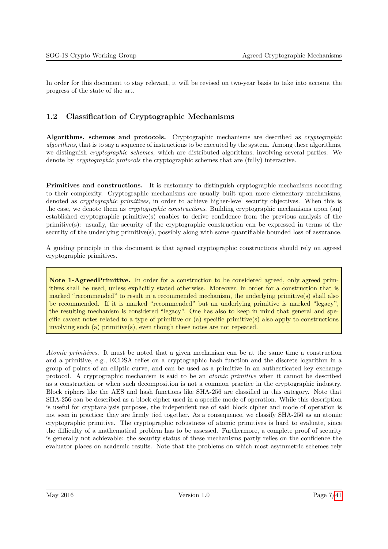In order for this document to stay relevant, it will be revised on two-year basis to take into account the progress of the state of the art.

## <span id="page-6-0"></span>**1.2 Classification of Cryptographic Mechanisms**

**Algorithms, schemes and protocols.** Cryptographic mechanisms are described as *cryptographic algorithms*, that is to say a sequence of instructions to be executed by the system. Among these algorithms, we distinguish *cryptographic schemes*, which are distributed algorithms, involving several parties. We denote by *cryptographic protocols* the cryptographic schemes that are (fully) interactive.

**Primitives and constructions.** It is customary to distinguish cryptographic mechanisms according to their complexity. Cryptographic mechanisms are usually built upon more elementary mechanisms, denoted as *cryptographic primitives*, in order to achieve higher-level security objectives. When this is the case, we denote them as *cryptographic constructions*. Building cryptographic mechanisms upon (an) established cryptographic primitive(s) enables to derive confidence from the previous analysis of the primitive(s): usually, the security of the cryptographic construction can be expressed in terms of the security of the underlying primitive(s), possibly along with some quantifiable bounded loss of assurance.

A guiding principle in this document is that agreed cryptographic constructions should rely on agreed cryptographic primitives.

<span id="page-6-1"></span>**Note 1-AgreedPrimitive.** In order for a construction to be considered agreed, only agreed primitives shall be used, unless explicitly stated otherwise. Moreover, in order for a construction that is marked "recommended" to result in a recommended mechanism, the underlying primitive(s) shall also be recommended. If it is marked "recommended" but an underlying primitive is marked "legacy", the resulting mechanism is considered "legacy". One has also to keep in mind that general and specific caveat notes related to a type of primitive or (a) specific primitive(s) also apply to constructions involving such (a) primitive(s), even though these notes are not repeated.

*Atomic primitives.* It must be noted that a given mechanism can be at the same time a construction and a primitive, e.g., ECDSA relies on a cryptographic hash function and the discrete logarithm in a group of points of an elliptic curve, and can be used as a primitive in an authenticated key exchange protocol. A cryptographic mechanism is said to be an *atomic primitive* when it cannot be described as a construction or when such decomposition is not a common practice in the cryptographic industry. Block ciphers like the AES and hash functions like SHA-256 are classified in this category. Note that SHA-256 can be described as a block cipher used in a specific mode of operation. While this description is useful for cryptanalysis purposes, the independent use of said block cipher and mode of operation is not seen in practice: they are firmly tied together. As a consequence, we classify SHA-256 as an atomic cryptographic primitive. The cryptographic robustness of atomic primitives is hard to evaluate, since the difficulty of a mathematical problem has to be assessed. Furthermore, a complete proof of security is generally not achievable: the security status of these mechanisms partly relies on the confidence the evaluator places on academic results. Note that the problems on which most asymmetric schemes rely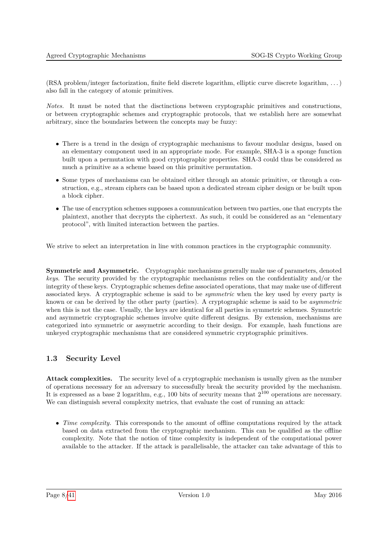(RSA problem/integer factorization, finite field discrete logarithm, elliptic curve discrete logarithm, . . . ) also fall in the category of atomic primitives.

*Notes.* It must be noted that the disctinctions between cryptographic primitives and constructions, or between cryptographic schemes and cryptographic protocols, that we establish here are somewhat arbitrary, since the boundaries between the concepts may be fuzzy:

- There is a trend in the design of cryptographic mechanisms to favour modular designs, based on an elementary component used in an appropriate mode. For example, SHA-3 is a sponge function built upon a permutation with good cryptographic properties. SHA-3 could thus be considered as much a primitive as a scheme based on this primitive permutation.
- Some types of mechanisms can be obtained either through an atomic primitive, or through a construction, e.g., stream ciphers can be based upon a dedicated stream cipher design or be built upon a block cipher.
- The use of encryption schemes supposes a communication between two parties, one that encrypts the plaintext, another that decrypts the ciphertext. As such, it could be considered as an "elementary protocol", with limited interaction between the parties.

We strive to select an interpretation in line with common practices in the cryptographic community.

**Symmetric and Asymmetric.** Cryptographic mechanisms generally make use of parameters, denoted *keys*. The security provided by the cryptographic mechanisms relies on the confidentiality and/or the integrity of these keys. Cryptographic schemes define associated operations, that may make use of different associated keys. A cryptographic scheme is said to be *symmetric* when the key used by every party is known or can be derived by the other party (parties). A cryptographic scheme is said to be *asymmetric* when this is not the case. Usually, the keys are identical for all parties in symmetric schemes. Symmetric and asymmetric cryptographic schemes involve quite different designs. By extension, mechanisms are categorized into symmetric or assymetric according to their design. For example, hash functions are unkeyed cryptographic mechanisms that are considered symmetric cryptographic primitives.

## <span id="page-7-0"></span>**1.3 Security Level**

**Attack complexities.** The security level of a cryptographic mechanism is usually given as the number of operations necessary for an adversary to successfully break the security provided by the mechanism. It is expressed as a base 2 logarithm, e.g., 100 bits of security means that  $2^{100}$  operations are necessary. We can distinguish several complexity metrics, that evaluate the cost of running an attack:

• *Time complexity.* This corresponds to the amount of offline computations required by the attack based on data extracted from the cryptographic mechanism. This can be qualified as the offline complexity. Note that the notion of time complexity is independent of the computational power available to the attacker. If the attack is parallelisable, the attacker can take advantage of this to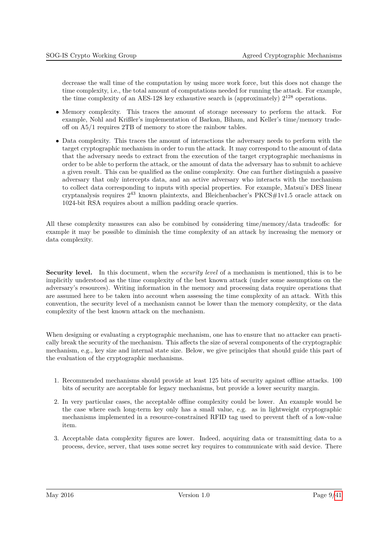decrease the wall time of the computation by using more work force, but this does not change the time complexity, i.e., the total amount of computations needed for running the attack. For example, the time complexity of an AES-128 key exhaustive search is (approximately)  $2^{128}$  operations.

- Memory complexity. This traces the amount of storage necessary to perform the attack. For example, Nohl and Krißler's implementation of Barkan, Biham, and Keller's time/memory tradeoff on A5/1 requires 2TB of memory to store the rainbow tables.
- Data complexity. This traces the amount of interactions the adversary needs to perform with the target cryptographic mechanism in order to run the attack. It may correspond to the amount of data that the adversary needs to extract from the execution of the target cryptographic mechanisms in order to be able to perform the attack, or the amount of data the adversary has to submit to achieve a given result. This can be qualified as the online complexity. One can further distinguish a passive adversary that only intercepts data, and an active adversary who interacts with the mechanism to collect data corresponding to inputs with special properties. For example, Matsui's DES linear cryptanalysis requires 2 <sup>43</sup> known plaintexts, and Bleichenbacher's PKCS#1v1.5 oracle attack on 1024-bit RSA requires about a million padding oracle queries.

All these complexity measures can also be combined by considering time/memory/data tradeoffs: for example it may be possible to diminish the time complexity of an attack by increasing the memory or data complexity.

**Security level.** In this document, when the *security level* of a mechanism is mentioned, this is to be implicitly understood as the time complexity of the best known attack (under some assumptions on the adversary's resources). Writing information in the memory and processing data require operations that are assumed here to be taken into account when assessing the time complexity of an attack. With this convention, the security level of a mechanism cannot be lower than the memory complexity, or the data complexity of the best known attack on the mechanism.

When designing or evaluating a cryptographic mechanism, one has to ensure that no attacker can practically break the security of the mechanism. This affects the size of several components of the cryptographic mechanism, e.g., key size and internal state size. Below, we give principles that should guide this part of the evaluation of the cryptographic mechanisms.

- 1. Recommended mechanisms should provide at least 125 bits of security against offline attacks. 100 bits of security are acceptable for legacy mechanisms, but provide a lower security margin.
- 2. In very particular cases, the acceptable offline complexity could be lower. An example would be the case where each long-term key only has a small value, e.g. as in lightweight cryptographic mechanisms implemented in a resource-constrained RFID tag used to prevent theft of a low-value item.
- 3. Acceptable data complexity figures are lower. Indeed, acquiring data or transmitting data to a process, device, server, that uses some secret key requires to communicate with said device. There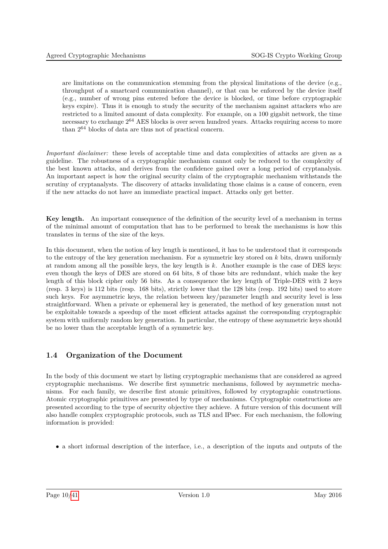are limitations on the communication stemming from the physical limitations of the device (e.g., throughput of a smartcard communication channel), or that can be enforced by the device itself (e.g., number of wrong pins entered before the device is blocked, or time before cryptographic keys expire). Thus it is enough to study the security of the mechanism against attackers who are restricted to a limited amount of data complexity. For example, on a 100 gigabit network, the time necessary to exchange  $2^{64}$  AES blocks is over seven hundred years. Attacks requiring access to more than 2 <sup>64</sup> blocks of data are thus not of practical concern.

*Important disclaimer:* these levels of acceptable time and data complexities of attacks are given as a guideline. The robustness of a cryptographic mechanism cannot only be reduced to the complexity of the best known attacks, and derives from the confidence gained over a long period of cryptanalysis. An important aspect is how the original security claim of the cryptographic mechanism withstands the scrutiny of cryptanalysts. The discovery of attacks invalidating those claims is a cause of concern, even if the new attacks do not have an immediate practical impact. Attacks only get better.

**Key length.** An important consequence of the definition of the security level of a mechanism in terms of the minimal amount of computation that has to be performed to break the mechanisms is how this translates in terms of the size of the keys.

In this document, when the notion of key length is mentioned, it has to be understood that it corresponds to the entropy of the key generation mechanism. For a symmetric key stored on *k* bits, drawn uniformly at random among all the possible keys, the key length is *k*. Another example is the case of DES keys: even though the keys of DES are stored on 64 bits, 8 of those bits are redundant, which make the key length of this block cipher only 56 bits. As a consequence the key length of Triple-DES with 2 keys (resp. 3 keys) is 112 bits (resp. 168 bits), strictly lower that the 128 bits (resp. 192 bits) used to store such keys. For asymmetric keys, the relation between key/parameter length and security level is less straightforward. When a private or ephemeral key is generated, the method of key generation must not be exploitable towards a speedup of the most efficient attacks against the corresponding cryptographic system with uniformly random key generation. In particular, the entropy of these asymmetric keys should be no lower than the acceptable length of a symmetric key.

## <span id="page-9-0"></span>**1.4 Organization of the Document**

In the body of this document we start by listing cryptographic mechanisms that are considered as agreed cryptographic mechanisms. We describe first symmetric mechanisms, followed by asymmetric mechanisms. For each family, we describe first atomic primitives, followed by cryptographic constructions. Atomic cryptographic primitives are presented by type of mechanisms. Cryptographic constructions are presented according to the type of security objective they achieve. A future version of this document will also handle complex cryptographic protocols, such as TLS and IPsec. For each mechanism, the following information is provided:

• a short informal description of the interface, i.e., a description of the inputs and outputs of the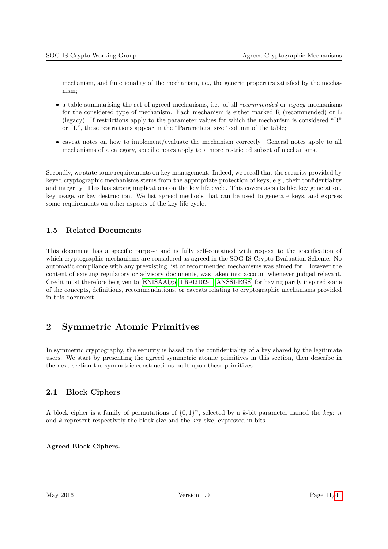mechanism, and functionality of the mechanism, i.e., the generic properties satisfied by the mechanism;

- a table summarising the set of agreed mechanisms, i.e. of all *recommended* or *legacy* mechanisms for the considered type of mechanism. Each mechanism is either marked R (recommended) or L (legacy). If restrictions apply to the parameter values for which the mechanism is considered "R" or "L", these restrictions appear in the "Parameters' size" column of the table;
- caveat notes on how to implement/evaluate the mechanism correctly. General notes apply to all mechanisms of a category, specific notes apply to a more restricted subset of mechanisms.

Secondly, we state some requirements on key management. Indeed, we recall that the security provided by keyed cryptographic mechanisms stems from the appropriate protection of keys, e.g., their confidentiality and integrity. This has strong implications on the key life cycle. This covers aspects like key generation, key usage, or key destruction. We list agreed methods that can be used to generate keys, and express some requirements on other aspects of the key life cycle.

## <span id="page-10-0"></span>**1.5 Related Documents**

This document has a specific purpose and is fully self-contained with respect to the specification of which cryptographic mechanisms are considered as agreed in the SOG-IS Crypto Evaluation Scheme. No automatic compliance with any preexisting list of recommended mechanisms was aimed for. However the content of existing regulatory or advisory documents, was taken into account whenever judged relevant. Credit must therefore be given to [\[ENISAAlgo,](#page-38-0) [TR-02102-1,](#page-40-1) [ANSSI-RGS\]](#page-38-1) for having partly inspired some of the concepts, definitions, recommendations, or caveats relating to cryptographic mechanisms provided in this document.

# <span id="page-10-1"></span>**2 Symmetric Atomic Primitives**

In symmetric cryptography, the security is based on the confidentiality of a key shared by the legitimate users. We start by presenting the agreed symmetric atomic primitives in this section, then describe in the next section the symmetric constructions built upon these primitives.

## <span id="page-10-2"></span>**2.1 Block Ciphers**

A block cipher is a family of permutations of  $\{0,1\}^n$ , selected by a *k*-bit parameter named the *key*: *n* and *k* represent respectively the block size and the key size, expressed in bits.

**Agreed Block Ciphers.**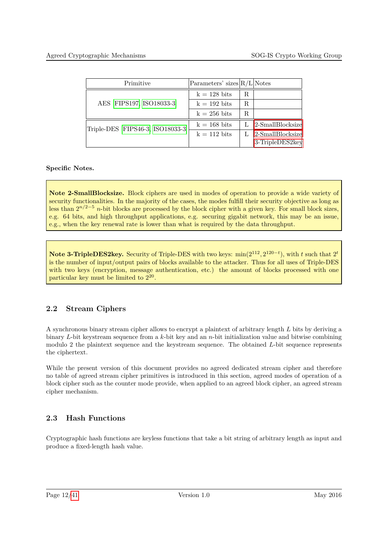| Primitive                         | $\text{Parameters}'$ sizes $\text{R/L}$ Notes |    |                                                |
|-----------------------------------|-----------------------------------------------|----|------------------------------------------------|
|                                   | $k = 128$ bits                                | R. |                                                |
| AES [FIPS197, ISO18033-3]         | $k = 192$ bits                                | R  |                                                |
|                                   | $k = 256$ bits                                | R. |                                                |
| Triple-DES [FIPS46-3, ISO18033-3] | $k = 168$ bits                                |    | $ 2\text{-SmallBlocksize} $                    |
|                                   | $k = 112$ bits                                |    | $ 2\text{-SmallBlocksize} $<br>3-TripleDES2key |

**Specific Notes.**

<span id="page-11-2"></span>**Note 2-SmallBlocksize.** Block ciphers are used in modes of operation to provide a wide variety of security functionalities. In the majority of the cases, the modes fulfill their security objective as long as less than 2 *n/*2−<sup>5</sup> *n*-bit blocks are processed by the block cipher with a given key. For small block sizes, e.g. 64 bits, and high throughput applications, e.g. securing gigabit network, this may be an issue, e.g., when the key renewal rate is lower than what is required by the data throughput.

<span id="page-11-3"></span>**Note 3-TripleDES2key.** Security of Triple-DES with two keys: min(2<sup>112</sup>, 2<sup>120−*t*), with *t* such that 2<sup>*t*</sup></sup> is the number of input/output pairs of blocks available to the attacker. Thus for all uses of Triple-DES with two keys (encryption, message authentication, etc.) the amount of blocks processed with one particular key must be limited to  $2^{20}$ .

## <span id="page-11-0"></span>**2.2 Stream Ciphers**

A synchronous binary stream cipher allows to encrypt a plaintext of arbitrary length *L* bits by deriving a binary *L*-bit keystream sequence from a *k*-bit key and an *n*-bit initialization value and bitwise combining modulo 2 the plaintext sequence and the keystream sequence. The obtained *L*-bit sequence represents the ciphertext.

While the present version of this document provides no agreed dedicated stream cipher and therefore no table of agreed stream cipher primitives is introduced in this section, agreed modes of operation of a block cipher such as the counter mode provide, when applied to an agreed block cipher, an agreed stream cipher mechanism.

## <span id="page-11-1"></span>**2.3 Hash Functions**

Cryptographic hash functions are keyless functions that take a bit string of arbitrary length as input and produce a fixed-length hash value.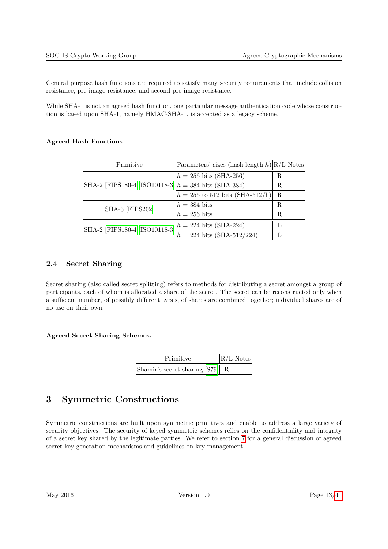General purpose hash functions are required to satisfy many security requirements that include collision resistance, pre-image resistance, and second pre-image resistance.

While SHA-1 is not an agreed hash function, one particular message authentication code whose construction is based upon SHA-1, namely HMAC-SHA-1, is accepted as a legacy scheme.

### **Agreed Hash Functions**

| Primitive                                                                | Parameters' sizes (hash length $h$ ) $\vert R/L \vert$ Notes |    |  |
|--------------------------------------------------------------------------|--------------------------------------------------------------|----|--|
|                                                                          | $h = 256$ bits (SHA-256)                                     | R  |  |
| $\text{SHA-2}$ [FIPS180-4, ISO10118-3] $ h = 384 \text{ bits (SHA-384)}$ |                                                              | R  |  |
|                                                                          | $ h = 256$ to 512 bits (SHA-512/h)                           | R. |  |
| SHA-3 [FIPS202]                                                          | $h = 384$ bits                                               | R  |  |
|                                                                          | $h = 256$ bits                                               | R  |  |
| SHA-2 [FIPS180-4, ISO10118-3]                                            | $h = 224$ bits (SHA-224)                                     | L  |  |
|                                                                          | $h = 224$ bits (SHA-512/224)                                 |    |  |

## <span id="page-12-0"></span>**2.4 Secret Sharing**

Secret sharing (also called secret splitting) refers to methods for distributing a secret amongst a group of participants, each of whom is allocated a share of the secret. The secret can be reconstructed only when a sufficient number, of possibly different types, of shares are combined together; individual shares are of no use on their own.

**Agreed Secret Sharing Schemes.**

| Primitive                       | $R/L$ Notes |
|---------------------------------|-------------|
| Shamir's secret sharing [S79] R |             |

# <span id="page-12-1"></span>**3 Symmetric Constructions**

Symmetric constructions are built upon symmetric primitives and enable to address a large variety of security objectives. The security of keyed symmetric schemes relies on the confidentiality and integrity of a secret key shared by the legitimate parties. We refer to section [7](#page-32-0) for a general discussion of agreed secret key generation mechanisms and guidelines on key management.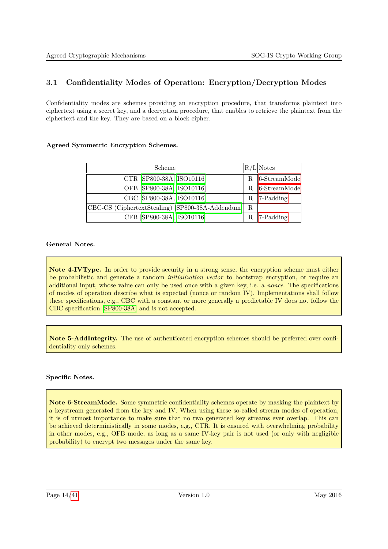## <span id="page-13-0"></span>**3.1 Confidentiality Modes of Operation: Encryption/Decryption Modes**

Confidentiality modes are schemes providing an encryption procedure, that transforms plaintext into ciphertext using a secret key, and a decryption procedure, that enables to retrieve the plaintext from the ciphertext and the key. They are based on a block cipher.

### **Agreed Symmetric Encryption Schemes.**

| Scheme                                            |   | $R/L$ Notes       |
|---------------------------------------------------|---|-------------------|
| CTR [SP800-38A, ISO10116]                         |   | $R$  6-StreamMode |
| OFB [SP800-38A, ISO10116]                         |   | $R$  6-StreamMode |
| CBC [SP800-38A, ISO10116]                         |   | $R$  7-Padding    |
| CBC-CS (CiphertextStealing) [SP800-38A-Addendum]] | R |                   |
| CFB [SP800-38A, ISO10116]                         |   | 7-Padding         |

### **General Notes.**

Note 4-IVType. In order to provide security in a strong sense, the encryption scheme must either be probabilistic and generate a random *initialization vector* to bootstrap encryption, or require an additional input, whose value can only be used once with a given key, i.e. a *nonce*. The specifications of modes of operation describe what is expected (nonce or random IV). Implementations shall follow these specifications, e.g., CBC with a constant or more generally a predictable IV does not follow the CBC specification [\[SP800-38A\]](#page-39-2) and is not accepted.

Note 5-AddIntegrity. The use of authenticated encryption schemes should be preferred over confidentiality only schemes.

### **Specific Notes.**

<span id="page-13-1"></span>**Note 6-StreamMode.** Some symmetric confidentiality schemes operate by masking the plaintext by a keystream generated from the key and IV. When using these so-called stream modes of operation, it is of utmost importance to make sure that no two generated key streams ever overlap. This can be achieved deterministically in some modes, e.g., CTR. It is ensured with overwhelming probability in other modes, e.g., OFB mode, as long as a same IV-key pair is not used (or only with negligible probability) to encrypt two messages under the same key.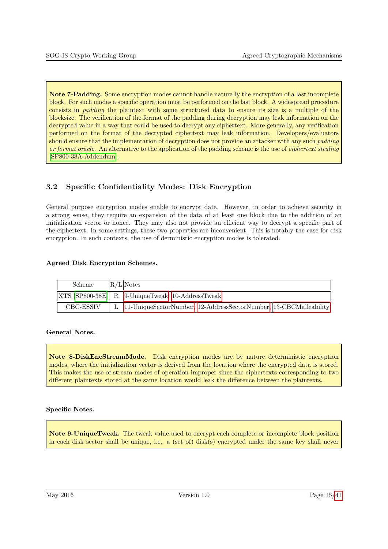<span id="page-14-1"></span>**Note 7-Padding.** Some encryption modes cannot handle naturally the encryption of a last incomplete block. For such modes a specific operation must be performed on the last block. A widespread procedure consists in *padding* the plaintext with some structured data to ensure its size is a multiple of the blocksize. The verification of the format of the padding during decryption may leak information on the decrypted value in a way that could be used to decrypt any ciphertext. More generally, any verification performed on the format of the decrypted ciphertext may leak information. Developers/evaluators should ensure that the implementation of decryption does not provide an attacker with any such *padding or format oracle*. An alternative to the application of the padding scheme is the use of *ciphertext stealing* [\[SP800-38A-Addendum\]](#page-39-3).

## <span id="page-14-0"></span>**3.2 Specific Confidentiality Modes: Disk Encryption**

General purpose encryption modes enable to encrypt data. However, in order to achieve security in a strong sense, they require an expansion of the data of at least one block due to the addition of an initialization vector or nonce. They may also not provide an efficient way to decrypt a specific part of the ciphertext. In some settings, these two properties are inconvenient. This is notably the case for disk encryption. In such contexts, the use of derministic encryption modes is tolerated.

### **Agreed Disk Encryption Schemes.**

| Scheme    | $R/L$ Notes                                                       |
|-----------|-------------------------------------------------------------------|
|           | $ XTS$ [SP800-38E] $\ R\ $ 9-UniqueTweak, 10-AddressTweak         |
| CBC-ESSIV | 11-UniqueSectorNumber, 12-AddressSectorNumber, 13-CBCMalleability |

### **General Notes.**

**Note 8-DiskEncStreamMode.** Disk encryption modes are by nature deterministic encryption modes, where the initialization vector is derived from the location where the encrypted data is stored. This makes the use of stream modes of operation improper since the ciphertexts corresponding to two different plaintexts stored at the same location would leak the difference between the plaintexts.

### **Specific Notes.**

<span id="page-14-2"></span>**Note 9-UniqueTweak.** The tweak value used to encrypt each complete or incomplete block position in each disk sector shall be unique, i.e. a (set of) disk(s) encrypted under the same key shall never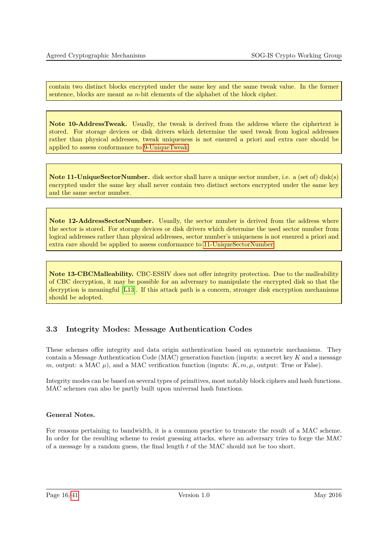contain two distinct blocks encrypted under the same key and the same tweak value. In the former sentence, blocks are meant as *n*-bit elements of the alphabet of the block cipher.

<span id="page-15-1"></span>**Note 10-AddressTweak.** Usually, the tweak is derived from the address where the ciphertext is stored. For storage devices or disk drivers which determine the used tweak from logical addresses rather than physical addresses, tweak uniqueness is not ensured a priori and extra care should be applied to assess conformance to [9-UniqueTweak.](#page-14-2)

<span id="page-15-2"></span>**Note 11-UniqueSectorNumber.** disk sector shall have a unique sector number, i.e. a (set of) disk(s) encrypted under the same key shall never contain two distinct sectors encrypted under the same key and the same sector number.

<span id="page-15-3"></span>**Note 12-AddressSectorNumber.** Usually, the sector number is derived from the address where the sector is stored. For storage devices or disk drivers which determine the used sector number from logical addresses rather than physical addresses, sector number's uniqueness is not ensured a priori and extra care should be applied to assess conformance to [11-UniqueSectorNumber.](#page-15-2)

<span id="page-15-4"></span>**Note 13-CBCMalleability.** CBC-ESSIV does not offer integrity protection. Due to the malleability of CBC decryption, it may be possible for an adversary to manipulate the encrypted disk so that the decryption is meaningful [\[L13\]](#page-39-4). If this attack path is a concern, stronger disk encryption mechanisms should be adopted.

## <span id="page-15-0"></span>**3.3 Integrity Modes: Message Authentication Codes**

These schemes offer integrity and data origin authentication based on symmetric mechanisms. They contain a Message Authentication Code (MAC) generation function (inputs: a secret key *K* and a message *m*, output: a MAC  $\mu$ ), and a MAC verification function (inputs:  $K, m, \mu$ , output: True or False).

Integrity modes can be based on several types of primitives, most notably block ciphers and hash functions. MAC schemes can also be partly built upon universal hash functions.

### **General Notes.**

For reasons pertaining to bandwidth, it is a common practice to truncate the result of a MAC scheme. In order for the resulting scheme to resist guessing attacks, where an adversary tries to forge the MAC of a message by a random guess, the final length *t* of the MAC should not be too short.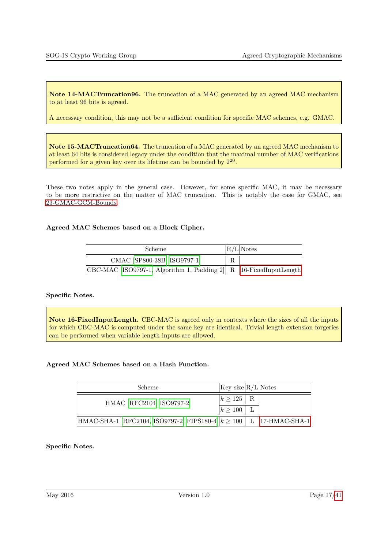<span id="page-16-1"></span>**Note 14-MACTruncation96.** The truncation of a MAC generated by an agreed MAC mechanism to at least 96 bits is agreed.

A necessary condition, this may not be a sufficient condition for specific MAC schemes, e.g. GMAC.

<span id="page-16-2"></span>**Note 15-MACTruncation64.** The truncation of a MAC generated by an agreed MAC mechanism to at least 64 bits is considered legacy under the condition that the maximal number of MAC verifications performed for a given key over its lifetime can be bounded by  $2^{20}$ .

These two notes apply in the general case. However, for some specific MAC, it may be necessary to be more restrictive on the matter of MAC truncation. This is notably the case for GMAC, see [23-GMAC-GCM-Bounds.](#page-19-1)

#### **Agreed MAC Schemes based on a Block Cipher.**

| Scheme                                                                  | $R/L$ Notes |
|-------------------------------------------------------------------------|-------------|
| CMAC [SP800-38B, ISO9797-1]                                             |             |
| $ CBC-MAC ISO9797-1$ , Algorithm 1, Padding 2 $ R 16-FixedInputLength $ |             |

#### **Specific Notes.**

<span id="page-16-0"></span>**Note 16-FixedInputLength.** CBC-MAC is agreed only in contexts where the sizes of all the inputs for which CBC-MAC is computed under the same key are identical. Trivial length extension forgeries can be performed when variable length inputs are allowed.

#### **Agreed MAC Schemes based on a Hash Function.**

| <b>Scheme</b>                                                              | $Key size  R/L  Notes$ |  |
|----------------------------------------------------------------------------|------------------------|--|
| HMAC [RFC2104, ISO9797-2]                                                  | $ k \geq 125$ R        |  |
|                                                                            | k>100                  |  |
| HMAC-SHA-1 [RFC2104, ISO9797-2, FIPS180-4]  $k \ge 100$   L  17-HMAC-SHA-1 |                        |  |

**Specific Notes.**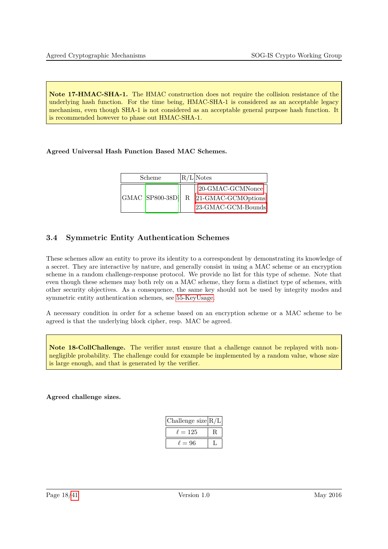<span id="page-17-1"></span>**Note 17-HMAC-SHA-1.** The HMAC construction does not require the collision resistance of the underlying hash function. For the time being, HMAC-SHA-1 is considered as an acceptable legacy mechanism, even though SHA-1 is not considered as an acceptable general purpose hash function. It is recommended however to phase out HMAC-SHA-1.

**Agreed Universal Hash Function Based MAC Schemes.**

| Scheme | $R/L$ Notes                                                                       |
|--------|-----------------------------------------------------------------------------------|
|        | 20-GMAC-GCMNonce<br>GMAC [SP800-38D] R  21-GMAC-GCMOptions<br> 23-GMAC-GCM-Bounds |

## <span id="page-17-0"></span>**3.4 Symmetric Entity Authentication Schemes**

These schemes allow an entity to prove its identity to a correspondent by demonstrating its knowledge of a secret. They are interactive by nature, and generally consist in using a MAC scheme or an encryption scheme in a random challenge-response protocol. We provide no list for this type of scheme. Note that even though these schemes may both rely on a MAC scheme, they form a distinct type of schemes, with other security objectives. As a consequence, the same key should not be used by integrity modes and symmetric entity authentication schemes, see [55-KeyUsage.](#page-34-3)

A necessary condition in order for a scheme based on an encryption scheme or a MAC scheme to be agreed is that the underlying block cipher, resp. MAC be agreed.

<span id="page-17-2"></span>**Note 18-CollChallenge.** The verifier must ensure that a challenge cannot be replayed with nonnegligible probability. The challenge could for example be implemented by a random value, whose size is large enough, and that is generated by the verifier.

**Agreed challenge sizes.**

| Challenge size $ R/L $ |  |
|------------------------|--|
| $\ell = 125$           |  |
| $l = 96$               |  |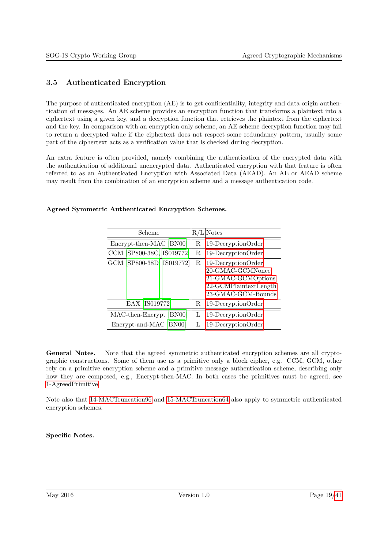## <span id="page-18-0"></span>**3.5 Authenticated Encryption**

The purpose of authenticated encryption (AE) is to get confidentiality, integrity and data origin authentication of messages. An AE scheme provides an encryption function that transforms a plaintext into a ciphertext using a given key, and a decryption function that retrieves the plaintext from the ciphertext and the key. In comparison with an encryption only scheme, an AE scheme decryption function may fail to return a decrypted value if the ciphertext does not respect some redundancy pattern, usually some part of the ciphertext acts as a verification value that is checked during decryption.

An extra feature is often provided, namely combining the authentication of the encrypted data with the authentication of additional unencrypted data. Authenticated encryption with that feature is often referred to as an Authenticated Encryption with Associated Data (AEAD). An AE or AEAD scheme may result from the combination of an encryption scheme and a message authentication code.

| Scheme                    |    | $R/L$ Notes           |
|---------------------------|----|-----------------------|
| Encrypt-then-MAC [BN00]   | R  | 19-DecryptionOrder    |
| CCM [SP800-38C, IS019772] | R  | 19-DecryptionOrder    |
| GCM [SP800-38D, IS019772] | R  | 19-DecryptionOrder    |
|                           |    | 20-GMAC-GCMNonce,     |
|                           |    | 21-GMAC-GCMOptions    |
|                           |    | 22-GCMPlaintextLength |
|                           |    | 23-GMAC-GCM-Bounds    |
| EAX [IS019772]            | R  | 19-DecryptionOrder    |
| MAC-then-Encrypt [BN00]   | L  | 19-DecryptionOrder    |
| Encrypt-and-MAC [BN00]    | Τ, | 19-DecryptionOrder    |

### **Agreed Symmetric Authenticated Encryption Schemes.**

**General Notes.** Note that the agreed symmetric authenticated encryption schemes are all cryptographic constructions. Some of them use as a primitive only a block cipher, e.g. CCM, GCM, other rely on a primitive encryption scheme and a primitive message authentication scheme, describing only how they are composed, e.g., Encrypt-then-MAC. In both cases the primitives must be agreed, see [1-AgreedPrimitive.](#page-6-1)

Note also that [14-MACTruncation96](#page-16-1) and [15-MACTruncation64](#page-16-2) also apply to symmetric authenticated encryption schemes.

### **Specific Notes.**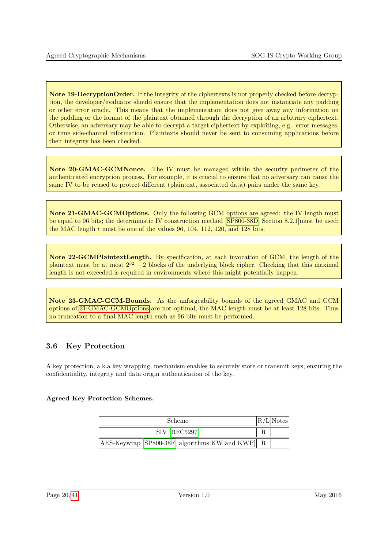<span id="page-19-4"></span>**Note 19-DecryptionOrder.** If the integrity of the ciphertexts is not properly checked before decryption, the developer/evaluator should ensure that the implementation does not instantiate any padding or other error oracle. This means that the implementation does not give away any information on the padding or the format of the plaintext obtained through the decryption of an arbitrary ciphertext. Otherwise, an adversary may be able to decrypt a target ciphertext by exploiting, e.g., error messages, or time side-channel information. Plaintexts should never be sent to consuming applications before their integrity has been checked.

<span id="page-19-2"></span>**Note 20-GMAC-GCMNonce.** The IV must be managed within the security perimeter of the authenticated encryption process. For example, it is crucial to ensure that no adversary can cause the same IV to be reused to protect different (plaintext, associated data) pairs under the same key.

<span id="page-19-3"></span>**Note 21-GMAC-GCMOptions.** Only the following GCM options are agreed: the IV length must be equal to 96 bits; the deterministic IV construction method [\[SP800-38D,](#page-39-9) Section 8.2.1]must be used; the MAC length *t* must be one of the values 96, 104, 112, 120, and 128 bits.

<span id="page-19-5"></span>**Note 22-GCMPlaintextLength.** By specification, at each invocation of GCM, the length of the plaintext must be at most  $2^{32} - 2$  blocks of the underlying block cipher. Checking that this maximal length is not exceeded is required in environments where this might potentially happen.

<span id="page-19-1"></span>**Note 23-GMAC-GCM-Bounds.** As the unforgeability bounds of the agreed GMAC and GCM options of [21-GMAC-GCMOptions](#page-19-3) are not optimal, the MAC length must be at least 128 bits. Thus no truncation to a final MAC length such as 96 bits must be performed.

## <span id="page-19-0"></span>**3.6 Key Protection**

A key protection, a.k.a key wrapping, mechanism enables to securely store or transmit keys, ensuring the confidentiality, integrity and data origin authentication of the key.

### **Agreed Key Protection Schemes.**

| Scheme                                           | $R/L$ Notes |
|--------------------------------------------------|-------------|
| <b>SIV [RFC5297]</b>                             |             |
| AES-Keywrap [SP800-38F, algorithms KW and KWP] R |             |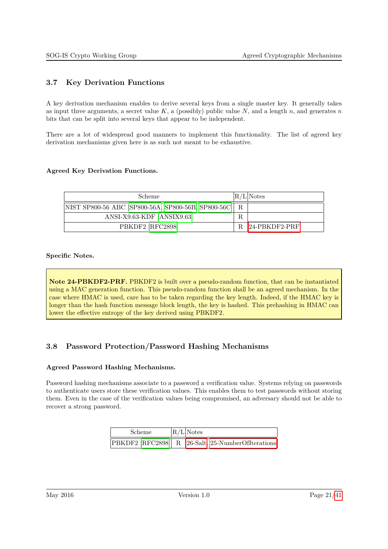## <span id="page-20-0"></span>**3.7 Key Derivation Functions**

A key derivation mechanism enables to derive several keys from a single master key. It generally takes as input three arguments, a secret value *K*, a (possibly) public value *N*, and a length *n*, and generates *n* bits that can be split into several keys that appear to be independent.

There are a lot of widespread good manners to implement this functionality. The list of agreed key derivation mechanisms given here is as such not meant to be exhaustive.

### **Agreed Key Derivation Functions.**

| <b>Scheme</b>                                          | $ R/L $ Notes    |
|--------------------------------------------------------|------------------|
| NIST SP800-56 ABC [SP800-56A, SP800-56B, SP800-56C]] R |                  |
| ANSI-X9.63-KDF [ANSIX9.63]                             |                  |
| PBKDF2 [RFC2898]                                       | $ 24-PBKDF2-PRF$ |

### **Specific Notes.**

<span id="page-20-2"></span>**Note 24-PBKDF2-PRF.** PBKDF2 is built over a pseudo-random function, that can be instantiated using a MAC generation function. This pseudo-random function shall be an agreed mechanism. In the case where HMAC is used, care has to be taken regarding the key length. Indeed, if the HMAC key is longer than the hash function message block length, the key is hashed. This prehashing in HMAC can lower the effective entropy of the key derived using PBKDF2.

## <span id="page-20-1"></span>**3.8 Password Protection/Password Hashing Mechanisms**

### **Agreed Password Hashing Mechanisms.**

Password hashing mechanisms associate to a password a verification value. Systems relying on passwords to authenticate users store these verification values. This enables them to test passwords without storing them. Even in the case of the verification values being compromised, an adversary should not be able to recover a strong password.

| Scheme | $R/L$ Notes                                       |
|--------|---------------------------------------------------|
|        | PBKDF2 [RFC2898] R 26-Salt, 25-NumberOfIterations |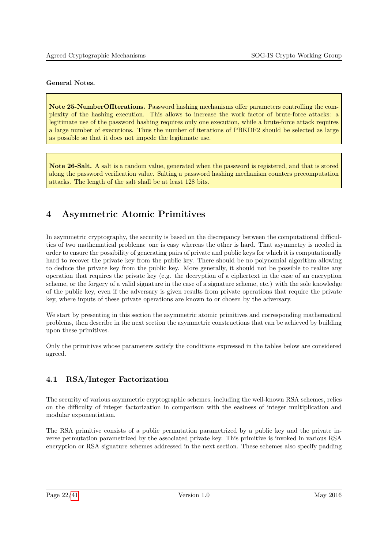### **General Notes.**

<span id="page-21-3"></span>**Note 25-NumberOfIterations.** Password hashing mechanisms offer parameters controlling the complexity of the hashing execution. This allows to increase the work factor of brute-force attacks: a legitimate use of the password hashing requires only one execution, while a brute-force attack requires a large number of executions. Thus the number of iterations of PBKDF2 should be selected as large as possible so that it does not impede the legitimate use.

<span id="page-21-2"></span>**Note 26-Salt.** A salt is a random value, generated when the password is registered, and that is stored along the password verification value. Salting a password hashing mechanism counters precomputation attacks. The length of the salt shall be at least 128 bits.

# <span id="page-21-0"></span>**4 Asymmetric Atomic Primitives**

In asymmetric cryptography, the security is based on the discrepancy between the computational difficulties of two mathematical problems: one is easy whereas the other is hard. That asymmetry is needed in order to ensure the possibility of generating pairs of private and public keys for which it is computationally hard to recover the private key from the public key. There should be no polynomial algorithm allowing to deduce the private key from the public key. More generally, it should not be possible to realize any operation that requires the private key (e.g. the decryption of a ciphertext in the case of an encryption scheme, or the forgery of a valid signature in the case of a signature scheme, etc.) with the sole knowledge of the public key, even if the adversary is given results from private operations that require the private key, where inputs of these private operations are known to or chosen by the adversary.

We start by presenting in this section the asymmetric atomic primitives and corresponding mathematical problems, then describe in the next section the asymmetric constructions that can be achieved by building upon these primitives.

Only the primitives whose parameters satisfy the conditions expressed in the tables below are considered agreed.

## <span id="page-21-1"></span>**4.1 RSA/Integer Factorization**

The security of various asymmetric cryptographic schemes, including the well-known RSA schemes, relies on the difficulty of integer factorization in comparison with the easiness of integer multiplication and modular exponentiation.

The RSA primitive consists of a public permutation parametrized by a public key and the private inverse permutation parametrized by the associated private key. This primitive is invoked in various RSA encryption or RSA signature schemes addressed in the next section. These schemes also specify padding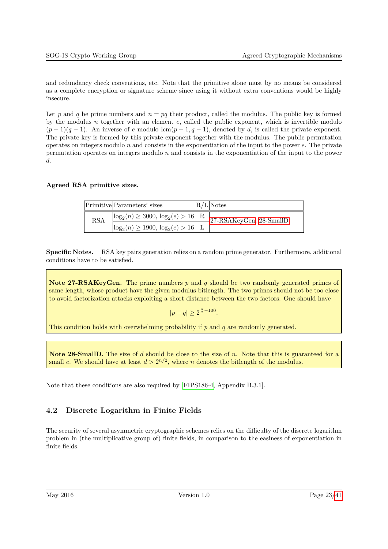and redundancy check conventions, etc. Note that the primitive alone must by no means be considered as a complete encryption or signature scheme since using it without extra conventions would be highly insecure.

Let  $p$  and  $q$  be prime numbers and  $n = pq$  their product, called the modulus. The public key is formed by the modulus *n* together with an element *e*, called the public exponent, which is invertible modulo  $(p-1)(q-1)$ . An inverse of *e* modulo lcm( $p-1, q-1$ ), denoted by *d*, is called the private exponent. The private key is formed by this private exponent together with the modulus. The public permutation operates on integers modulo *n* and consists in the exponentiation of the input to the power *e*. The private permutation operates on integers modulo *n* and consists in the exponentiation of the input to the power *d*.

### **Agreed RSA primitive sizes.**

|            | Primitive Parameters' sizes             | $R/L$ Notes                           |
|------------|-----------------------------------------|---------------------------------------|
| <b>RSA</b> | $\log_2(n) \geq 3000, \log_2(e) > 16$ R | $\frac{1}{4}$ 27-RSAKeyGen, 28-SmallD |
|            | $\log_2(n) \ge 1900, \log_2(e) > 16$ L  |                                       |

**Specific Notes.** RSA key pairs generation relies on a random prime generator. Furthermore, additional conditions have to be satisfied.

<span id="page-22-1"></span>**Note 27-RSAKeyGen.** The prime numbers *p* and *q* should be two randomly generated primes of same length, whose product have the given modulus bitlength. The two primes should not be too close to avoid factorization attacks exploiting a short distance between the two factors. One should have

$$
|p - q| \ge 2^{\frac{n}{2} - 100}.
$$

This condition holds with overwhelming probability if *p* and *q* are randomly generated.

<span id="page-22-2"></span>**Note 28-SmallD.** The size of *d* should be close to the size of *n*. Note that this is guaranteed for a small *e*. We should have at least  $d > 2^{n/2}$ , where *n* denotes the bitlength of the modulus.

Note that these conditions are also required by [\[FIPS186-4,](#page-38-11) Appendix B.3.1].

## <span id="page-22-0"></span>**4.2 Discrete Logarithm in Finite Fields**

The security of several asymmetric cryptographic schemes relies on the difficulty of the discrete logarithm problem in (the multiplicative group of) finite fields, in comparison to the easiness of exponentiation in finite fields.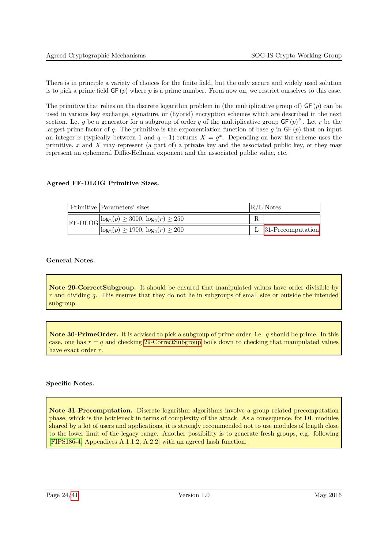There is in principle a variety of choices for the finite field, but the only secure and widely used solution is to pick a prime field  $GF(p)$  where  $p$  is a prime number. From now on, we restrict ourselves to this case.

The primitive that relies on the discrete logarithm problem in (the multiplicative group of) GF (*p*) can be used in various key exchange, signature, or (hybrid) encryption schemes which are described in the next section. Let *g* be a generator for a subgroup of order *q* of the multiplicative group  $GF(p)^{\times}$ . Let *r* be the largest prime factor of *q*. The primitive is the exponentiation function of base *g* in GF (*p*) that on input an integer *x* (typically between 1 and  $q - 1$ ) returns  $X = g^x$ . Depending on how the scheme uses the primitive, *x* and *X* may represent (a part of) a private key and the associated public key, or they may represent an ephemeral Diffie-Hellman exponent and the associated public value, etc.

#### **Agreed FF-DLOG Primitive Sizes.**

| Primitive Parameters' sizes                         | $R/L$ Notes            |
|-----------------------------------------------------|------------------------|
| $\log \log \log_2(p) \geq 3000, \log_2(r) \geq 250$ |                        |
| $\log_2(p) \ge 1900, \log_2(r) \ge 200$             | $L$  31-Precomputation |

### **General Notes.**

<span id="page-23-1"></span>**Note 29-CorrectSubgroup.** It should be ensured that manipulated values have order divisible by *r* and dividing *q*. This ensures that they do not lie in subgroups of small size or outside the intended subgroup.

<span id="page-23-2"></span>**Note 30-PrimeOrder.** It is advised to pick a subgroup of prime order, i.e. *q* should be prime. In this case, one has  $r = q$  and checking [29-CorrectSubgroup](#page-23-1) boils down to checking that manipulated values have exact order *r*.

### **Specific Notes.**

<span id="page-23-0"></span>**Note 31-Precomputation.** Discrete logarithm algorithms involve a group related precomputation phase, whick is the bottleneck in terms of complexity of the attack. As a consequence, for DL modules shared by a lot of users and applications, it is strongly recommended not to use modules of length close to the lower limit of the legacy range. Another possibility is to generate fresh groups, e.g. following [\[FIPS186-4,](#page-38-11) Appendices A.1.1.2, A.2.2] with an agreed hash function.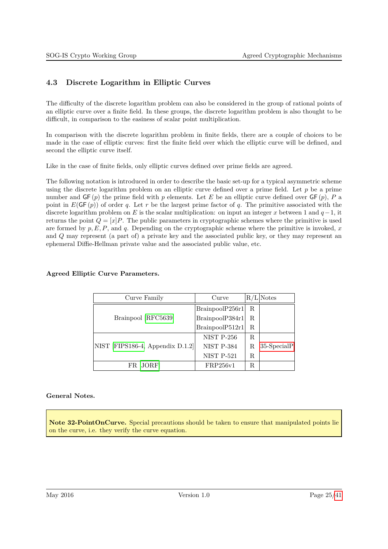## <span id="page-24-0"></span>**4.3 Discrete Logarithm in Elliptic Curves**

The difficulty of the discrete logarithm problem can also be considered in the group of rational points of an elliptic curve over a finite field. In these groups, the discrete logarithm problem is also thought to be difficult, in comparison to the easiness of scalar point multiplication.

In comparison with the discrete logarithm problem in finite fields, there are a couple of choices to be made in the case of elliptic curves: first the finite field over which the elliptic curve will be defined, and second the elliptic curve itself.

Like in the case of finite fields, only elliptic curves defined over prime fields are agreed.

The following notation is introduced in order to describe the basic set-up for a typical asymmetric scheme using the discrete logarithm problem on an elliptic curve defined over a prime field. Let *p* be a prime number and  $GF(p)$  the prime field with *p* elements. Let *E* be an elliptic curve defined over  $GF(p)$ , *P* a point in  $E(GF(p))$  of order q. Let r be the largest prime factor of q. The primitive associated with the discrete logarithm problem on *E* is the scalar multiplication: on input an integer *x* between 1 and *q*−1, it returns the point  $Q = [x]P$ . The public parameters in cryptographic schemes where the primitive is used are formed by *p, E, P*, and *q*. Depending on the cryptographic scheme where the primitive is invoked, *x* and *Q* may represent (a part of) a private key and the associated public key, or they may represent an ephemeral Diffie-Hellman private value and the associated public value, etc.

| Agreed Elliptic Curve Parameters. |  |  |
|-----------------------------------|--|--|
|-----------------------------------|--|--|

| Curve Family                     | Curve           |    | $R/L$ Notes            |
|----------------------------------|-----------------|----|------------------------|
|                                  | BrainpoolP256r1 | R  |                        |
| Brainpool [RFC5639]              | BrainpoolP384r1 | R  |                        |
|                                  | BrainpoolP512r1 | R. |                        |
|                                  | NIST P-256      | R. |                        |
| NIST [FIPS186-4, Appendix D.1.2] | NIST P-384      | R  | $ 35\text{-}SpecialP $ |
|                                  | NIST P-521      | R. |                        |
| FR [JORF]                        | FRP256v1        | R. |                        |

### **General Notes.**

<span id="page-24-1"></span>**Note 32-PointOnCurve.** Special precautions should be taken to ensure that manipulated points lie on the curve, i.e. they verify the curve equation.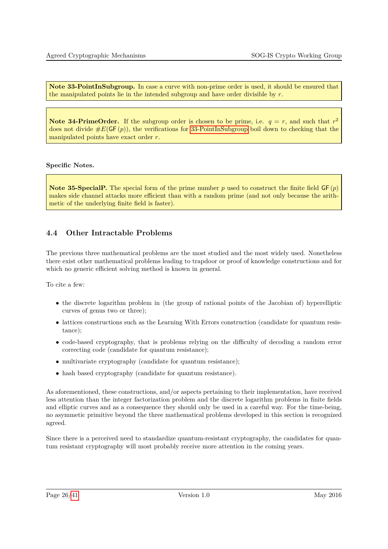<span id="page-25-2"></span>**Note 33-PointInSubgroup.** In case a curve with non-prime order is used, it should be ensured that the manipulated points lie in the intended subgroup and have order divisible by *r*.

**Note 34-PrimeOrder.** If the subgroup order is chosen to be prime, i.e.  $q = r$ , and such that  $r^2$ does not divide  $\#E(\mathsf{GF}(p))$ , the verifications for [33-PointInSubgroup](#page-25-2) boil down to checking that the manipulated points have exact order *r*.

**Specific Notes.**

<span id="page-25-1"></span>**Note 35-SpecialP.** The special form of the prime number *p* used to construct the finite field GF (*p*) makes side channel attacks more efficient than with a random prime (and not only because the arithmetic of the underlying finite field is faster).

## <span id="page-25-0"></span>**4.4 Other Intractable Problems**

The previous three mathematical problems are the most studied and the most widely used. Nonetheless there exist other mathematical problems leading to trapdoor or proof of knowledge constructions and for which no generic efficient solving method is known in general.

To cite a few:

- the discrete logarithm problem in (the group of rational points of the Jacobian of) hyperelliptic curves of genus two or three);
- lattices constructions such as the Learning With Errors construction (candidate for quantum resistance);
- code-based cryptography, that is problems relying on the difficulty of decoding a random error correcting code (candidate for quantum resistance);
- multivariate cryptography (candidate for quantum resistance);
- hash based cryptography (candidate for quantum resistance).

As aforementioned, these constructions, and/or aspects pertaining to their implementation, have received less attention than the integer factorization problem and the discrete logarithm problems in finite fields and elliptic curves and as a consequence they should only be used in a careful way. For the time-being, no asymmetic primitive beyond the three mathematical problems developed in this section is recognized agreed.

Since there is a perceived need to standardize quantum-resistant cryptography, the candidates for quantum resistant cryptography will most probably receive more attention in the coming years.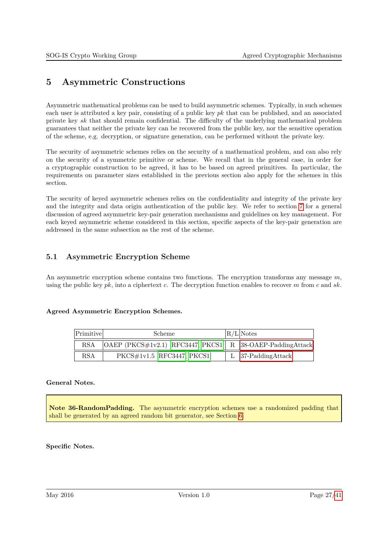# <span id="page-26-0"></span>**5 Asymmetric Constructions**

Asymmetric mathematical problems can be used to build asymmetric schemes. Typically, in such schemes each user is attributed a key pair, consisting of a public key *pk* that can be published, and an associated private key *sk* that should remain confidential. The difficulty of the underlying mathematical problem guarantees that neither the private key can be recovered from the public key, nor the sensitive operation of the scheme, e.g. decryption, or signature generation, can be performed without the private key.

The security of asymmetric schemes relies on the security of a mathematical problem, and can also rely on the security of a symmetric primitive or scheme. We recall that in the general case, in order for a cryptographic construction to be agreed, it has to be based on agreed primitives. In particular, the requirements on parameter sizes established in the previous section also apply for the schemes in this section.

The security of keyed asymmetric schemes relies on the confidentiality and integrity of the private key and the integrity and data origin authentication of the public key. We refer to section [7](#page-32-0) for a general discussion of agreed asymmetric key-pair generation mechanisms and guidelines on key management. For each keyed asymmetric scheme considered in this section, specific aspects of the key-pair generation are addressed in the same subsection as the rest of the scheme.

## <span id="page-26-1"></span>**5.1 Asymmetric Encryption Scheme**

An asymmetric encryption scheme contains two functions. The encryption transforms any message *m*, using the public key *pk*, into a ciphertext *c*. The decryption function enables to recover *m* from *c* and *sk*.

### **Agreed Asymmetric Encryption Schemes.**

| Primitive  | <b>Scheme</b>                                                  | $R/L$ Notes           |
|------------|----------------------------------------------------------------|-----------------------|
| <b>RSA</b> | $ OAEP (PKCS#1v2.1)$ [RFC3447, PKCS1]] R 38-OAEP-PaddingAttack |                       |
| RSA        | PKCS#1v1.5 [RFC3447, PKCS1]                                    | $L$ 37-Padding Attack |

### **General Notes.**

**Note 36-RandomPadding.** The asymmetric encryption schemes use a randomized padding that shall be generated by an agreed random bit generator, see Section [6.](#page-30-0)

**Specific Notes.**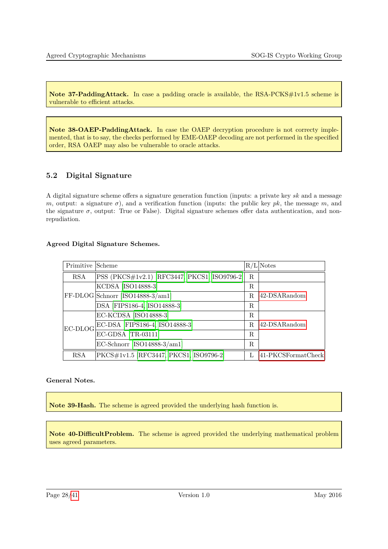<span id="page-27-2"></span>Note 37-PaddingAttack. In case a padding oracle is available, the RSA-PCKS#1v1.5 scheme is vulnerable to efficient attacks.

<span id="page-27-1"></span>**Note 38-OAEP-PaddingAttack.** In case the OAEP decryption procedure is not correcty implemented, that is to say, the checks performed by EME-OAEP decoding are not performed in the specified order, RSA OAEP may also be vulnerable to oracle attacks.

## <span id="page-27-0"></span>**5.2 Digital Signature**

A digital signature scheme offers a signature generation function (inputs: a private key *sk* and a message *m*, output: a signature  $\sigma$ ), and a verification function (inputs: the public key *pk*, the message *m*, and the signature  $\sigma$ , output: True or False). Digital signature schemes offer data authentication, and nonrepudiation.

### **Agreed Digital Signature Schemes.**

| Primitive   | Scheme                                       |    | $R/L$ Notes        |
|-------------|----------------------------------------------|----|--------------------|
| <b>RSA</b>  | PSS (PKCS#1v2.1) [RFC3447, PKCS1, ISO9796-2] | R  |                    |
|             | KCDSA [ISO14888-3]                           | R  |                    |
|             | FF-DLOG Schnorr [ISO14888-3/am1]             | R. | 42-DSARandom       |
|             | DSA [FIPS186-4, ISO14888-3]                  | R. |                    |
|             | EC-KCDSA [ISO14888-3]                        | R  |                    |
| $ EC-DLOG $ | EC-DSA [FIPS186-4, ISO14888-3]               | R. | 42-DSARandom       |
|             | EC-GDSA [TR-03111]                           | R. |                    |
|             | EC-Schnorr [ISO14888-3/am1]                  | R. |                    |
| <b>RSA</b>  | PKCS#1v1.5 [RFC3447, PKCS1, ISO9796-2]       |    | 41-PKCSFormatCheck |

### **General Notes.**

**Note 39-Hash.** The scheme is agreed provided the underlying hash function is.

**Note 40-DifficultProblem.** The scheme is agreed provided the underlying mathematical problem uses agreed parameters.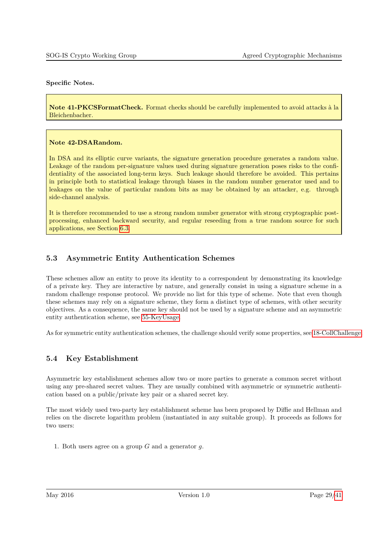#### **Specific Notes.**

<span id="page-28-3"></span>**Note 41-PKCSFormatCheck.** Format checks should be carefully implemented to avoid attacks à la Bleichenbacher.

#### <span id="page-28-2"></span>**Note 42-DSARandom.**

In DSA and its elliptic curve variants, the signature generation procedure generates a random value. Leakage of the random per-signature values used during signature generation poses risks to the confidentiality of the associated long-term keys. Such leakage should therefore be avoided. This pertains in principle both to statistical leakage through biases in the random number generator used and to leakages on the value of particular random bits as may be obtained by an attacker, e.g. through side-channel analysis.

It is therefore recommended to use a strong random number generator with strong cryptographic postprocessing, enhanced backward security, and regular reseeding from a true random source for such applications, see Section [6.3.](#page-31-0)

## <span id="page-28-0"></span>**5.3 Asymmetric Entity Authentication Schemes**

These schemes allow an entity to prove its identity to a correspondent by demonstrating its knowledge of a private key. They are interactive by nature, and generally consist in using a signature scheme in a random challenge response protocol. We provide no list for this type of scheme. Note that even though these schemes may rely on a signature scheme, they form a distinct type of schemes, with other security objectives. As a consequence, the same key should not be used by a signature scheme and an asymmetric entity authentication scheme, see [55-KeyUsage.](#page-34-3)

As for symmetric entity authentication schemes, the challenge should verify some properties, see [18-CollChallenge.](#page-17-2)

### <span id="page-28-1"></span>**5.4 Key Establishment**

Asymmetric key establishment schemes allow two or more parties to generate a common secret without using any pre-shared secret values. They are usually combined with asymmetric or symmetric authentication based on a public/private key pair or a shared secret key.

The most widely used two-party key establishment scheme has been proposed by Diffie and Hellman and relies on the discrete logarithm problem (instantiated in any suitable group). It proceeds as follows for two users:

1. Both users agree on a group *G* and a generator *g*.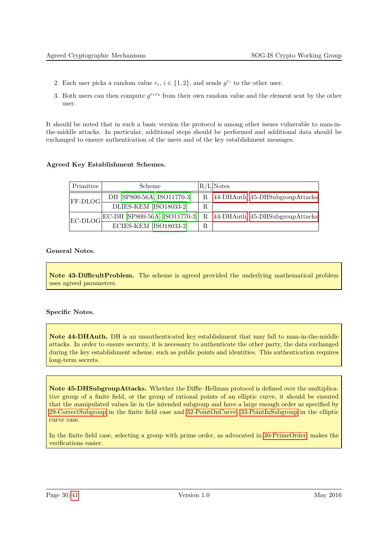- 2. Each user picks a random value  $r_i$ ,  $i \in \{1, 2\}$ , and sends  $g^{r_i}$  to the other user.
- 3. Both users can then compute  $g^{r_1 r_2}$  from their own random value and the element sent by the other user.

It should be noted that in such a basic version the protocol is among other issues vulnerable to man-inthe-middle attacks. In particular, additional steps should be performed and additional data should be exchanged to ensure authentication of the users and of the key establishment messages.

#### **Agreed Key Establishment Schemes.**

| Primitive | Scheme                     |   | $R/L$ Notes                          |
|-----------|----------------------------|---|--------------------------------------|
| FF-DLOG   | DH [SP800-56A, ISO11770-3] |   | $R$  44-DHAuth, 45-DHSubgroupAttacks |
|           | DLIES-KEM [ISO18033-2]     | R |                                      |
|           |                            |   |                                      |
|           | ECIES-KEM [ISO18033-2]     |   |                                      |

#### **General Notes.**

**Note 43-DifficultProblem.** The scheme is agreed provided the underlying mathematical problem uses agreed parameters.

#### **Specific Notes.**

<span id="page-29-0"></span>**Note 44-DHAuth.** DH is an unauthenticated key establishment that may fall to man-in-the-middle attacks. In order to ensure security, it is necessary to authenticate the other party, the data exchanged during the key establishment scheme, such as public points and identities. This authentication requires long-term secrets.

<span id="page-29-1"></span>**Note 45-DHSubgroupAttacks.** Whether the Diffie–Hellman protocol is defined over the multiplicative group of a finite field, or the group of rational points of an elliptic curve, it should be ensured that the manipulated values lie in the intended subgroup and have a large enough order as specified by [29-CorrectSubgroup](#page-23-1) in the finite field case and [32-PointOnCurve,](#page-24-1) [33-PointInSubgroup](#page-25-2) in the elliptic curve case.

In the finite field case, selecting a group with prime order, as advocated in [30-PrimeOrder,](#page-23-2) makes the verifications easier.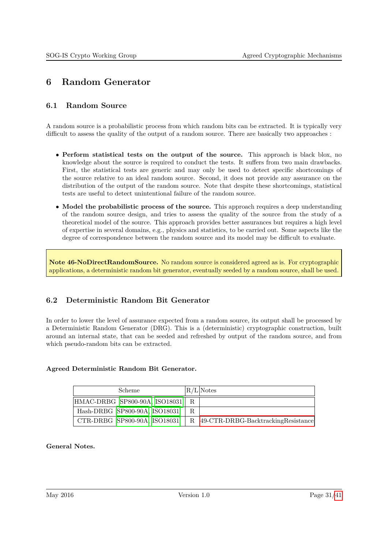# <span id="page-30-0"></span>**6 Random Generator**

## <span id="page-30-1"></span>**6.1 Random Source**

A random source is a probabilistic process from which random bits can be extracted. It is typically very difficult to assess the quality of the output of a random source. There are basically two approaches :

- **Perform statistical tests on the output of the source.** This approach is black blox, no knowledge about the source is required to conduct the tests. It suffers from two main drawbacks. First, the statistical tests are generic and may only be used to detect specific shortcomings of the source relative to an ideal random source. Second, it does not provide any assurance on the distribution of the output of the random source. Note that despite these shortcomings, statistical tests are useful to detect unintentional failure of the random source.
- **Model the probabilistic process of the source.** This approach requires a deep understanding of the random source design, and tries to assess the quality of the source from the study of a theoretical model of the source. This approach provides better assurances but requires a high level of expertise in several domains, e.g., physics and statistics, to be carried out. Some aspects like the degree of correspondence between the random source and its model may be difficult to evaluate.

**Note 46-NoDirectRandomSource.** No random source is considered agreed as is. For cryptographic applications, a deterministic random bit generator, eventually seeded by a random source, shall be used.

## <span id="page-30-2"></span>**6.2 Deterministic Random Bit Generator**

In order to lower the level of assurance expected from a random source, its output shall be processed by a Deterministic Random Generator (DRG). This is a (deterministic) cryptographic construction, built around an internal state, that can be seeded and refreshed by output of the random source, and from which pseudo-random bits can be extracted.

### **Agreed Deterministic Random Bit Generator.**

| <b>Scheme</b>                      | $R/L$ Notes                           |
|------------------------------------|---------------------------------------|
| HMAC-DRBG [SP800-90A, ISO18031]  R |                                       |
| Hash-DRBG [SP800-90A, ISO18031]    |                                       |
| CTR-DRBG [SP800-90A, ISO18031]     | R  49-CTR-DRBG-BacktrackingResistance |

**General Notes.**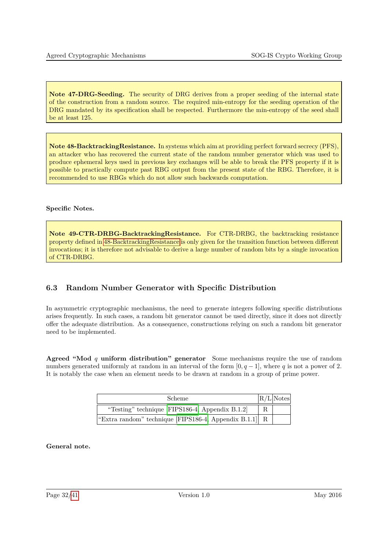Note 47-DRG-Seeding. The security of DRG derives from a proper seeding of the internal state of the construction from a random source. The required min-entropy for the seeding operation of the DRG mandated by its specification shall be respected. Furthermore the min-entropy of the seed shall be at least 125.

<span id="page-31-2"></span>**Note 48-BacktrackingResistance.** In systems which aim at providing perfect forward secrecy (PFS), an attacker who has recovered the current state of the random number generator which was used to produce ephemeral keys used in previous key exchanges will be able to break the PFS property if it is possible to practically compute past RBG output from the present state of the RBG. Therefore, it is recommended to use RBGs which do not allow such backwards computation.

**Specific Notes.**

<span id="page-31-1"></span>**Note 49-CTR-DRBG-BacktrackingResistance.** For CTR-DRBG, the backtracking resistance property defined in [48-BacktrackingResistance](#page-31-2) is only given for the transition function between different invocations; it is therefore not advisable to derive a large number of random bits by a single invocation of CTR-DRBG.

## <span id="page-31-0"></span>**6.3 Random Number Generator with Specific Distribution**

In asymmetric cryptographic mechanisms, the need to generate integers following specific distributions arises frequently. In such cases, a random bit generator cannot be used directly, since it does not directly offer the adequate distribution. As a consequence, constructions relying on such a random bit generator need to be implemented.

**Agreed "Mod** *q* **uniform distribution" generator** Some mechanisms require the use of random numbers generated uniformly at random in an interval of the form  $[0, q - 1]$ , where q is not a power of 2. It is notably the case when an element needs to be drawn at random in a group of prime power.

| Scheme                                                 | $R/L$ Notes |
|--------------------------------------------------------|-------------|
| "Testing" technique [FIPS186-4, Appendix B.1.2]        |             |
| "Extra random" technique [FIPS186-4, Appendix B.1.1] R |             |

**General note.**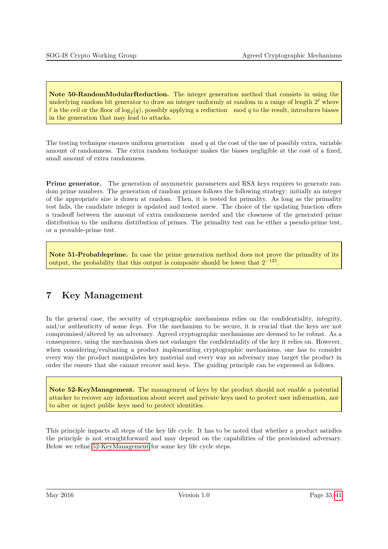**Note 50-RandomModularReduction.** The integer generation method that consists in using the underlying random bit generator to draw an integer uniformly at random in a range of length  $2^{\ell}$  where  $\ell$  is the ceil or the floor of  $\log_2(q)$ , possibly applying a reduction mod *q* to the result, introduces biases in the generation that may lead to attacks.

The testing technique ensures uniform generation mod *q* at the cost of the use of possibly extra, variable amount of randomness. The extra random technique makes the biases negligible at the cost of a fixed, small amount of extra randomness.

**Prime generator.** The generation of asymmetric parameters and RSA keys requires to generate random prime numbers. The generation of random primes follows the following strategy: initially an integer of the appropriate size is drawn at random. Then, it is tested for primality. As long as the primality test fails, the candidate integer is updated and tested anew. The choice of the updating function offers a tradeoff between the amount of extra randomness needed and the closeness of the generated prime distribution to the uniform distribution of primes. The primality test can be either a pseudo-prime test, or a provable-prime test.

**Note 51-Probableprime.** In case the prime generation method does not prove the primality of its output, the probability that this output is composite should be lower that  $2^{-125}$ .

# <span id="page-32-0"></span>**7 Key Management**

In the general case, the security of cryptographic mechanisms relies on the confidentiality, integrity, and/or authenticity of some *keys*. For the mechanism to be secure, it is crucial that the keys are not compromised/altered by an adversary. Agreed cryptographic mechanisms are deemed to be robust. As a consequence, using the mechanism does not endanger the confidentiality of the key it relies on. However, when considering/evaluating a product implementing cryptographic mechanisms, one has to consider every way the product manipulates key material and every way an adversary may target the product in order the ensure that she cannot recover said keys. The guiding principle can be expressed as follows.

<span id="page-32-1"></span>**Note 52-KeyManagement.** The management of keys by the product should not enable a potential attacker to recover any information about secret and private keys used to protect user information, nor to alter or inject public keys used to protect identities.

This principle impacts all steps of the key life cycle. It has to be noted that whether a product satisfies the principle is not straightforward and may depend on the capabilities of the provisioned adversary. Below we refine [52-KeyManagement](#page-32-1) for some key life cycle steps.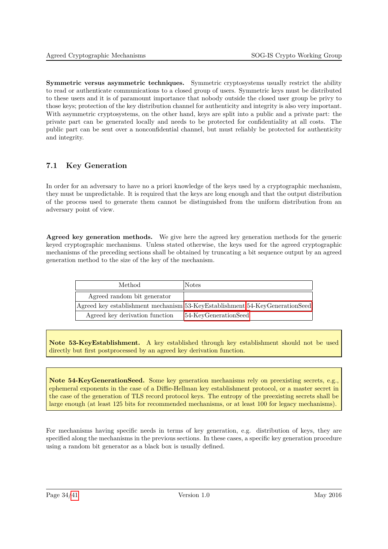Symmetric versus asymmetric techniques. Symmetric cryptosystems usually restrict the ability to read or authenticate communications to a closed group of users. Symmetric keys must be distributed to these users and it is of paramount importance that nobody outside the closed user group be privy to those keys; protection of the key distribution channel for authenticity and integrity is also very important. With asymmetric cryptosystems, on the other hand, keys are split into a public and a private part: the private part can be generated locally and needs to be protected for confidentiality at all costs. The public part can be sent over a nonconfidential channel, but must reliably be protected for authenticity and integrity.

## <span id="page-33-0"></span>**7.1 Key Generation**

In order for an adversary to have no a priori knowledge of the keys used by a cryptographic mechanism, they must be unpredictable. It is required that the keys are long enough and that the output distribution of the process used to generate them cannot be distinguished from the uniform distribution from an adversary point of view.

**Agreed key generation methods.** We give here the agreed key generation methods for the generic keyed cryptographic mechanisms. Unless stated otherwise, the keys used for the agreed cryptographic mechanisms of the preceding sections shall be obtained by truncating a bit sequence output by an agreed generation method to the size of the key of the mechanism.

| Method                         | Notes                                                                        |
|--------------------------------|------------------------------------------------------------------------------|
| Agreed random bit generator    |                                                                              |
|                                | Agreed key establishment mechanism 53-KeyEstablishment, 54-KeyGenerationSeed |
| Agreed key derivation function | 54-KeyGenerationSeed                                                         |

<span id="page-33-1"></span>**Note 53-KeyEstablishment.** A key established through key establishment should not be used directly but first postprocessed by an agreed key derivation function.

<span id="page-33-2"></span>**Note 54-KeyGenerationSeed.** Some key generation mechanisms rely on preexisting secrets, e.g., ephemeral exponents in the case of a Diffie-Hellman key establishment protocol, or a master secret in the case of the generation of TLS record protocol keys. The entropy of the preexisting secrets shall be large enough (at least 125 bits for recommended mechanisms, or at least 100 for legacy mechanisms).

For mechanisms having specific needs in terms of key generation, e.g. distribution of keys, they are specified along the mechanisms in the previous sections. In these cases, a specific key generation procedure using a random bit generator as a black box is usually defined.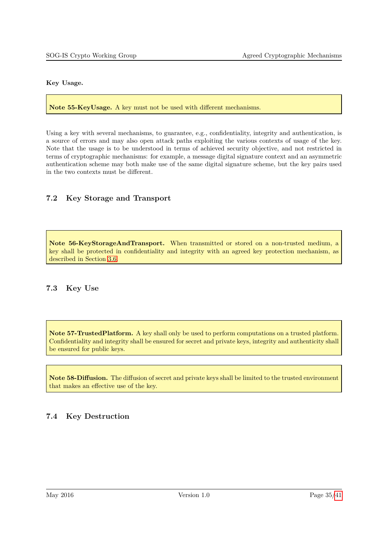#### **Key Usage.**

<span id="page-34-3"></span>**Note 55-KeyUsage.** A key must not be used with different mechanisms.

Using a key with several mechanisms, to guarantee, e.g., confidentiality, integrity and authentication, is a source of errors and may also open attack paths exploiting the various contexts of usage of the key. Note that the usage is to be understood in terms of achieved security objective, and not restricted in terms of cryptographic mechanisms: for example, a message digital signature context and an asymmetric authentication scheme may both make use of the same digital signature scheme, but the key pairs used in the two contexts must be different.

## <span id="page-34-0"></span>**7.2 Key Storage and Transport**

**Note 56-KeyStorageAndTransport.** When transmitted or stored on a non-trusted medium, a key shall be protected in confidentiality and integrity with an agreed key protection mechanism, as described in Section [3.6.](#page-19-0)

### <span id="page-34-1"></span>**7.3 Key Use**

**Note 57-TrustedPlatform.** A key shall only be used to perform computations on a trusted platform. Confidentiality and integrity shall be ensured for secret and private keys, integrity and authenticity shall be ensured for public keys.

**Note 58-Diffusion.** The diffusion of secret and private keys shall be limited to the trusted environment that makes an effective use of the key.

## <span id="page-34-2"></span>**7.4 Key Destruction**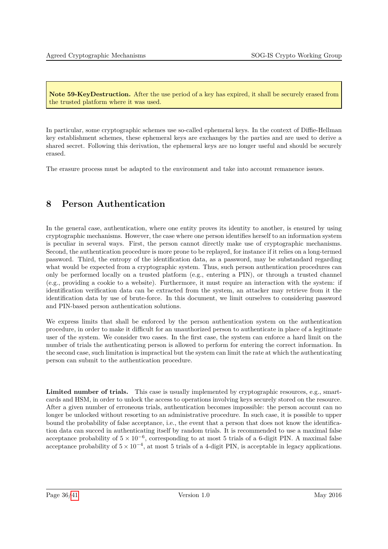Note 59-KeyDestruction. After the use period of a key has expired, it shall be securely erased from the trusted platform where it was used.

In particular, some cryptographic schemes use so-called ephemeral keys. In the context of Diffie-Hellman key establishment schemes, these ephemeral keys are exchanges by the parties and are used to derive a shared secret. Following this derivation, the ephemeral keys are no longer useful and should be securely erased.

The erasure process must be adapted to the environment and take into account remanence issues.

# <span id="page-35-0"></span>**8 Person Authentication**

In the general case, authentication, where one entity proves its identity to another, is ensured by using cryptographic mechanisms. However, the case where one person identifies herself to an information system is peculiar in several ways. First, the person cannot directly make use of cryptographic mechanisms. Second, the authentication procedure is more prone to be replayed, for instance if it relies on a long-termed password. Third, the entropy of the identification data, as a password, may be substandard regarding what would be expected from a cryptographic system. Thus, such person authentication procedures can only be performed locally on a trusted platform (e.g., entering a PIN), or through a trusted channel (e.g., providing a cookie to a website). Furthermore, it must require an interaction with the system: if identification verification data can be extracted from the system, an attacker may retrieve from it the identification data by use of brute-force. In this document, we limit ourselves to considering password and PIN-based person authentication solutions.

We express limits that shall be enforced by the person authentication system on the authentication procedure, in order to make it difficult for an unauthorized person to authenticate in place of a legitimate user of the system. We consider two cases. In the first case, the system can enforce a hard limit on the number of trials the authenticating person is allowed to perform for entering the correct information. In the second case, such limitation is impractical but the system can limit the rate at which the authenticating person can submit to the authentication procedure.

Limited number of trials. This case is usually implemented by cryptographic resources, e.g., smartcards and HSM, in order to unlock the access to operations involving keys securely stored on the resource. After a given number of erroneous trials, authentication becomes impossible: the person account can no longer be unlocked without resorting to an administrative procedure. In such case, it is possible to upper bound the probability of false acceptance, i.e., the event that a person that does not know the identification data can succed in authenticating itself by random trials. It is recommended to use a maximal false acceptance probability of  $5 \times 10^{-6}$ , corresponding to at most 5 trials of a 6-digit PIN. A maximal false acceptance probability of  $5 \times 10^{-4}$ , at most 5 trials of a 4-digit PIN, is acceptable in legacy applications.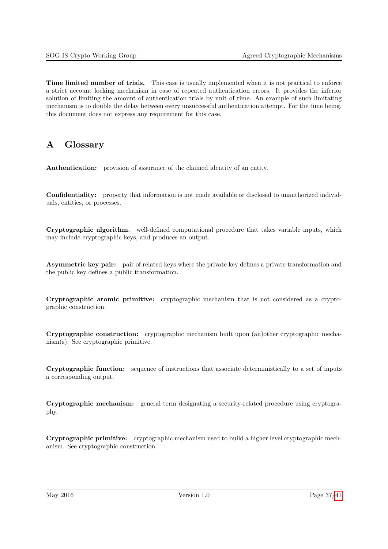Time limited number of trials. This case is usually implemented when it is not practical to enforce a strict account locking mechanism in case of repeated authentication errors. It provides the inferior solution of limiting the amount of authentication trials by unit of time. An example of such limitating mechanism is to double the delay between every unsuccessful authentication attempt. For the time being, this document does not express any requirement for this case.

# <span id="page-36-0"></span>**A Glossary**

**Authentication:** provision of assurance of the claimed identity of an entity.

**Confidentiality:** property that information is not made available or disclosed to unauthorized individuals, entities, or processes.

**Cryptographic algorithm.** well-defined computational procedure that takes variable inputs, which may include cryptographic keys, and produces an output.

**Asymmetric key pair:** pair of related keys where the private key defines a private transformation and the public key defines a public transformation.

**Cryptographic atomic primitive:** cryptographic mechanism that is not considered as a cryptographic construction.

**Cryptographic construction:** cryptographic mechanism built upon (an)other cryptographic mechanism(s). See cryptographic primitive.

**Cryptographic function:** sequence of instructions that associate deterministically to a set of inputs a corresponding output.

**Cryptographic mechanism:** general term designating a security-related procedure using cryptography.

**Cryptographic primitive:** cryptographic mechanism used to build a higher level cryptographic mechanism. See cryptographic construction.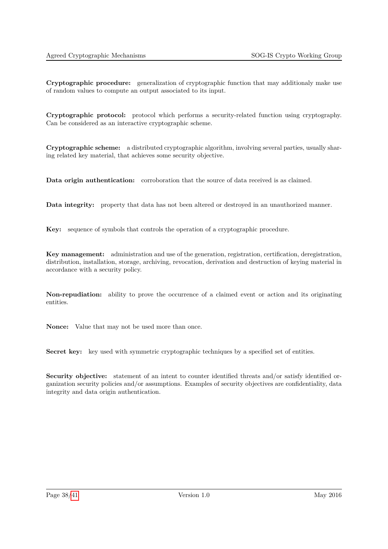**Cryptographic procedure:** generalization of cryptographic function that may additionaly make use of random values to compute an output associated to its input.

**Cryptographic protocol:** protocol which performs a security-related function using cryptography. Can be considered as an interactive cryptographic scheme.

**Cryptographic scheme:** a distributed cryptographic algorithm, involving several parties, usually sharing related key material, that achieves some security objective.

**Data origin authentication:** corroboration that the source of data received is as claimed.

**Data integrity:** property that data has not been altered or destroyed in an unauthorized manner.

**Key:** sequence of symbols that controls the operation of a cryptographic procedure.

**Key management:** administration and use of the generation, registration, certification, deregistration, distribution, installation, storage, archiving, revocation, derivation and destruction of keying material in accordance with a security policy.

**Non-repudiation:** ability to prove the occurrence of a claimed event or action and its originating entities.

**Nonce:** Value that may not be used more than once.

**Secret key:** key used with symmetric cryptographic techniques by a specified set of entities.

**Security objective:** statement of an intent to counter identified threats and/or satisfy identified organization security policies and/or assumptions. Examples of security objectives are confidentiality, data integrity and data origin authentication.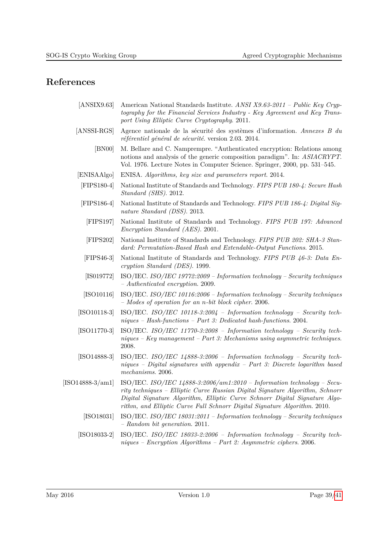## <span id="page-38-10"></span>**References**

| [ANSIX9.63] American National Standards Institute. ANSI X9.63-2011 - Public Key Cryp- |
|---------------------------------------------------------------------------------------|
| tography for the Financial Services Industry - Key Agreement and Key Trans-           |
| port Using Elliptic Curve Cryptography. 2011.                                         |

- <span id="page-38-8"></span><span id="page-38-1"></span>[ANSSI-RGS] Agence nationale de la sécurité des systèmes d'information. *Annexes B du référentiel général de sécurité*. version 2.03. 2014.
	- [BN00] M. Bellare and C. Namprempre. "Authenticated encryption: Relations among notions and analysis of the generic composition paradigm". In: *ASIACRYPT*. Vol. 1976. Lecture Notes in Computer Science. Springer, 2000, pp. 531–545.
- <span id="page-38-4"></span><span id="page-38-0"></span>[ENISAAlgo] ENISA. *Algorithms, key size and parameters report*. 2014.
- [FIPS180-4] National Institute of Standards and Technology. *FIPS PUB 180-4: Secure Hash Standard (SHS)*. 2012.
- <span id="page-38-11"></span><span id="page-38-2"></span>[FIPS186-4] National Institute of Standards and Technology. *FIPS PUB 186-4: Digital Signature Standard (DSS)*. 2013.
	- [FIPS197] National Institute of Standards and Technology. *FIPS PUB 197: Advanced Encryption Standard (AES)*. 2001.
	- [FIPS202] National Institute of Standards and Technology. *FIPS PUB 202: SHA-3 Standard: Permutation-Based Hash and Extendable-Output Functions*. 2015.
- <span id="page-38-6"></span><span id="page-38-3"></span>[FIPS46-3] National Institute of Standards and Technology. *FIPS PUB 46-3: Data Encryption Standard (DES)*. 1999.
- <span id="page-38-9"></span>[IS019772] ISO/IEC. *ISO/IEC 19772:2009 – Information technology – Security techniques – Authenticated encryption*. 2009.
- <span id="page-38-7"></span>[ISO10116] ISO/IEC. *ISO/IEC 10116:2006 – Information technology – Security techniques – Modes of operation for an n-bit block cipher*. 2006.
- <span id="page-38-5"></span>[ISO10118-3] ISO/IEC. *ISO/IEC 10118-3:2004 – Information technology – Security techniques – Hash-functions – Part 3: Dedicated hash-functions*. 2004.
- <span id="page-38-14"></span>[ISO11770-3] ISO/IEC. *ISO/IEC 11770-3:2008 – Information technology – Security techniques – Key management – Part 3: Mechanisms using asymmetric techniques*. 2008.
- <span id="page-38-12"></span>[ISO14888-3] ISO/IEC. *ISO/IEC 14888-3:2006 – Information technology – Security techniques – Digital signatures with appendix – Part 3: Discrete logarithm based mechanisms*. 2006.
- <span id="page-38-16"></span><span id="page-38-15"></span><span id="page-38-13"></span>[ISO14888-3/am1] ISO/IEC. *ISO/IEC 14888-3:2006/am1:2010 – Information technology – Security techniques – Elliptic Curve Russian Digital Signature Algorithm, Schnorr Digital Signature Algorithm, Elliptic Curve Schnorr Digital Signature Algorithm, and Elliptic Curve Full Schnorr Digital Signature Algorithm*. 2010.
	- [ISO18031] ISO/IEC. *ISO/IEC 18031:2011 Information technology Security techniques – Random bit generation*. 2011.
	- [ISO18033-2] ISO/IEC. *ISO/IEC 18033-2:2006 Information technology Security techniques – Encryption Algorithms – Part 2: Asymmetric ciphers*. 2006.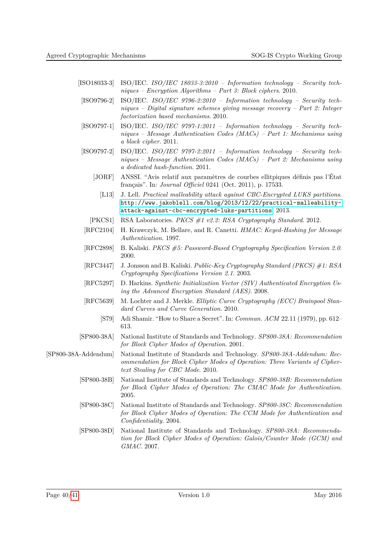- <span id="page-39-0"></span>[ISO18033-3] ISO/IEC. *ISO/IEC 18033-3:2010 – Information technology – Security techniques – Encryption Algorithms – Part 3: Block ciphers*. 2010.
- <span id="page-39-17"></span>[ISO9796-2] ISO/IEC. *ISO/IEC 9796-2:2010 – Information technology – Security techniques – Digital signature schemes giving message recovery – Part 2: Integer factorization based mechanisms*. 2010.
- <span id="page-39-6"></span>[ISO9797-1] ISO/IEC. *ISO/IEC 9797-1:2011 – Information technology – Security techniques – Message Authentication Codes (MACs) – Part 1: Mechanisms using a block cipher*. 2011.
- <span id="page-39-14"></span><span id="page-39-8"></span>[ISO9797-2] ISO/IEC. *ISO/IEC 9797-2:2011 – Information technology – Security techniques – Message Authentication Codes (MACs) – Part 2: Mechanisms using a dedicated hash-function*. 2011.
	- [JORF] ANSSI. "Avis relatif aux paramètres de courbes ellitpiques définis pas l'État français". In: *Journal Officiel* 0241 (Oct. 2011), p. 17533.
		- [L13] J. Lell. *Practical malleability attack against CBC-Encrypted LUKS partitions*. [http://www.jakoblell.com/blog/2013/12/22/practical-malleability](http://www.jakoblell.com/blog/2013/12/22/ practical-malleability-attack-against-cbc-encrypted-luks-partitions)[attack-against-cbc-encrypted-luks-partitions](http://www.jakoblell.com/blog/2013/12/22/ practical-malleability-attack-against-cbc-encrypted-luks-partitions). 2013.
	- [PKCS1] RSA Laboratories. *PKCS #1 v2.2: RSA Cryptography Standard*. 2012.
- <span id="page-39-16"></span><span id="page-39-7"></span><span id="page-39-4"></span>[RFC2104] H. Krawczyk, M. Bellare, and R. Canetti. *HMAC: Keyed-Hashing for Message Authentication*. 1997.
- <span id="page-39-12"></span>[RFC2898] B. Kaliski. *PKCS #5: Password-Based Cryptography Specification Version 2.0*. 2000.
- <span id="page-39-15"></span>[RFC3447] J. Jonsson and B. Kaliski. *Public-Key Cryptography Standard (PKCS) #1: RSA Cryptography Specifications Version 2.1*. 2003.
- <span id="page-39-11"></span>[RFC5297] D. Harkins. *Synthetic Initialization Vector (SIV) Authenticated Encryption Using the Advanced Encryption Standard (AES)*. 2008.
- <span id="page-39-13"></span>[RFC5639] M. Lochter and J. Merkle. *Elliptic Curve Cryptography (ECC) Brainpool Standard Curves and Curve Generation*. 2010.
	- [S79] Adi Shamir. "How to Share a Secret". In: *Commun. ACM* 22.11 (1979), pp. 612– 613.
- <span id="page-39-1"></span>[SP800-38A] National Institute of Standards and Technology. *SP800-38A: Recommendation for Block Cipher Modes of Operation*. 2001.
- <span id="page-39-10"></span><span id="page-39-9"></span><span id="page-39-5"></span><span id="page-39-3"></span><span id="page-39-2"></span>[SP800-38A-Addendum] National Institute of Standards and Technology. *SP800-38A-Addendum: Recommendation for Block Cipher Modes of Operation: Three Variants of Ciphertext Stealing for CBC Mode*. 2010.
	- [SP800-38B] National Institute of Standards and Technology. *SP800-38B: Recommendation for Block Cipher Modes of Operation: The CMAC Mode for Authentication*. 2005.
	- [SP800-38C] National Institute of Standards and Technology. *SP800-38C: Recommendation for Block Cipher Modes of Operation: The CCM Mode for Authentication and Confidentiality*. 2004.
	- [SP800-38D] National Institute of Standards and Technology. *SP800-38A: Recommendation for Block Cipher Modes of Operation: Galois/Counter Mode (GCM) and GMAC*. 2007.